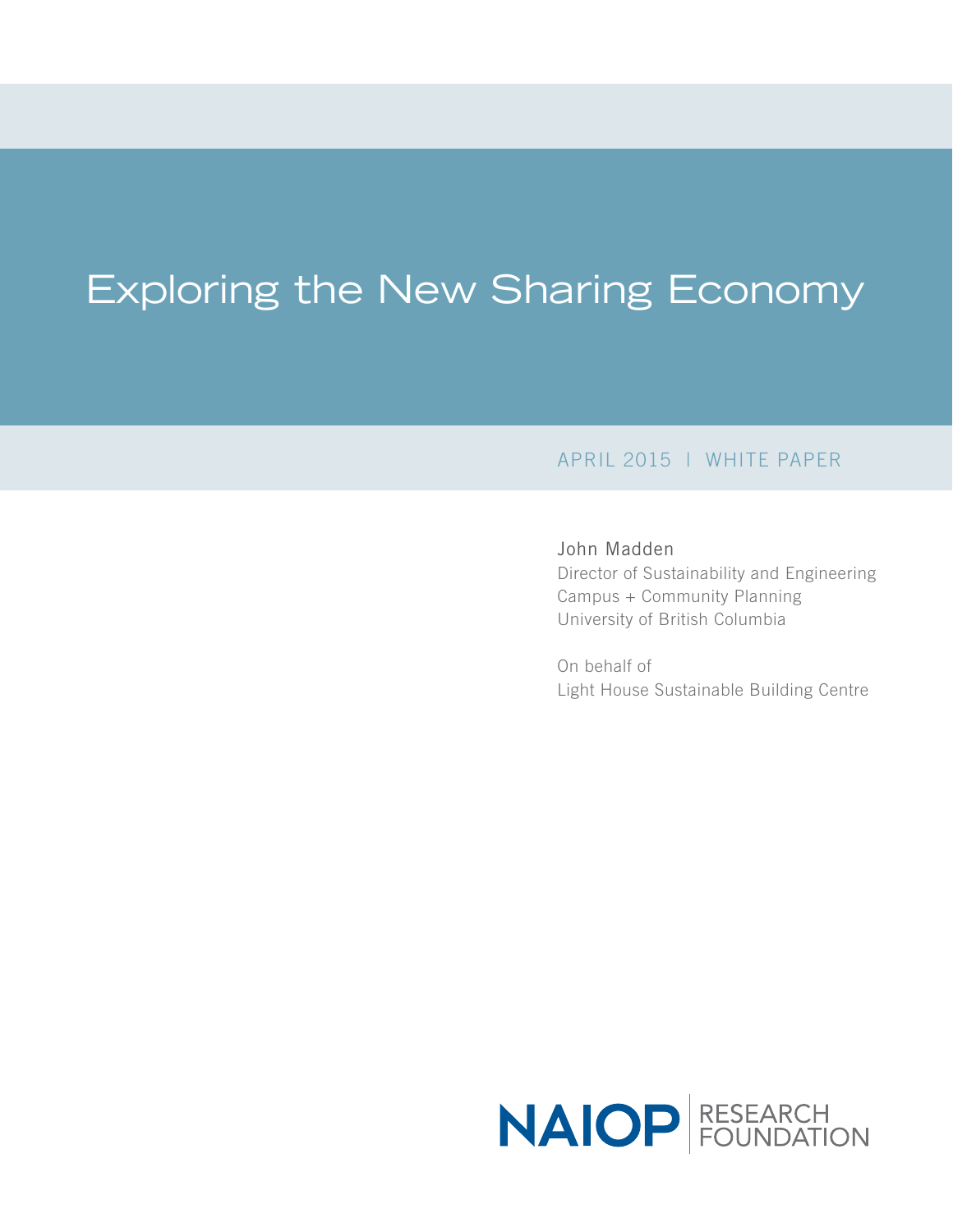# Exploring the New Sharing Economy

### APRIL 2015 | WHITE PAPER

### John Madden

Director of Sustainability and Engineering Campus + Community Planning University of British Columbia

On behalf of Light House Sustainable Building Centre

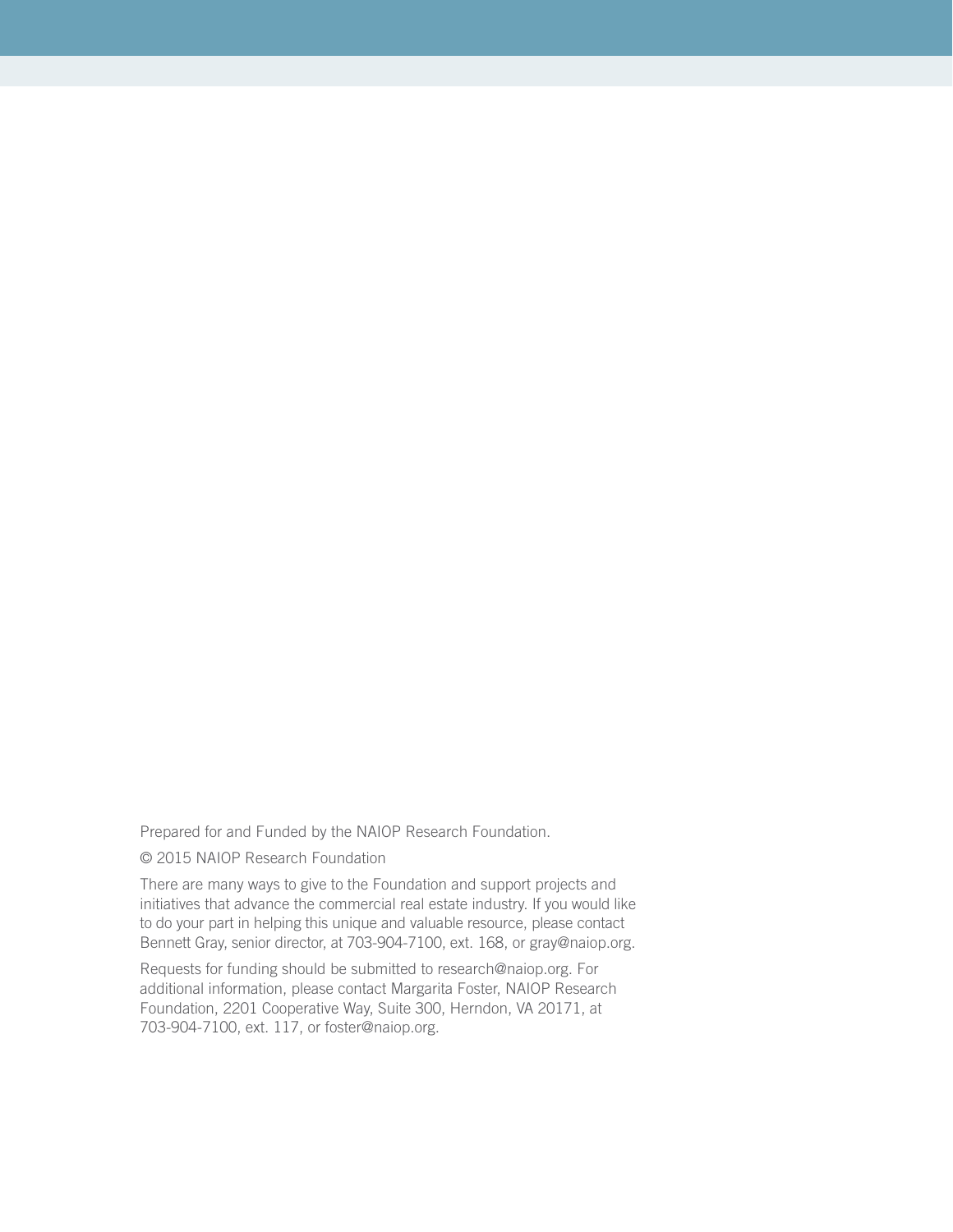Prepared for and Funded by the NAIOP Research Foundation.

© 2015 NAIOP Research Foundation

There are many ways to give to the Foundation and support projects and initiatives that advance the commercial real estate industry. If you would like to do your part in helping this unique and valuable resource, please contact Bennett Gray, senior director, at 703-904-7100, ext. 168, or gray@naiop.org.

Requests for funding should be submitted to research@naiop.org. For additional information, please contact Margarita Foster, NAIOP Research Foundation, 2201 Cooperative Way, Suite 300, Herndon, VA 20171, at 703-904-7100, ext. 117, or foster@naiop.org.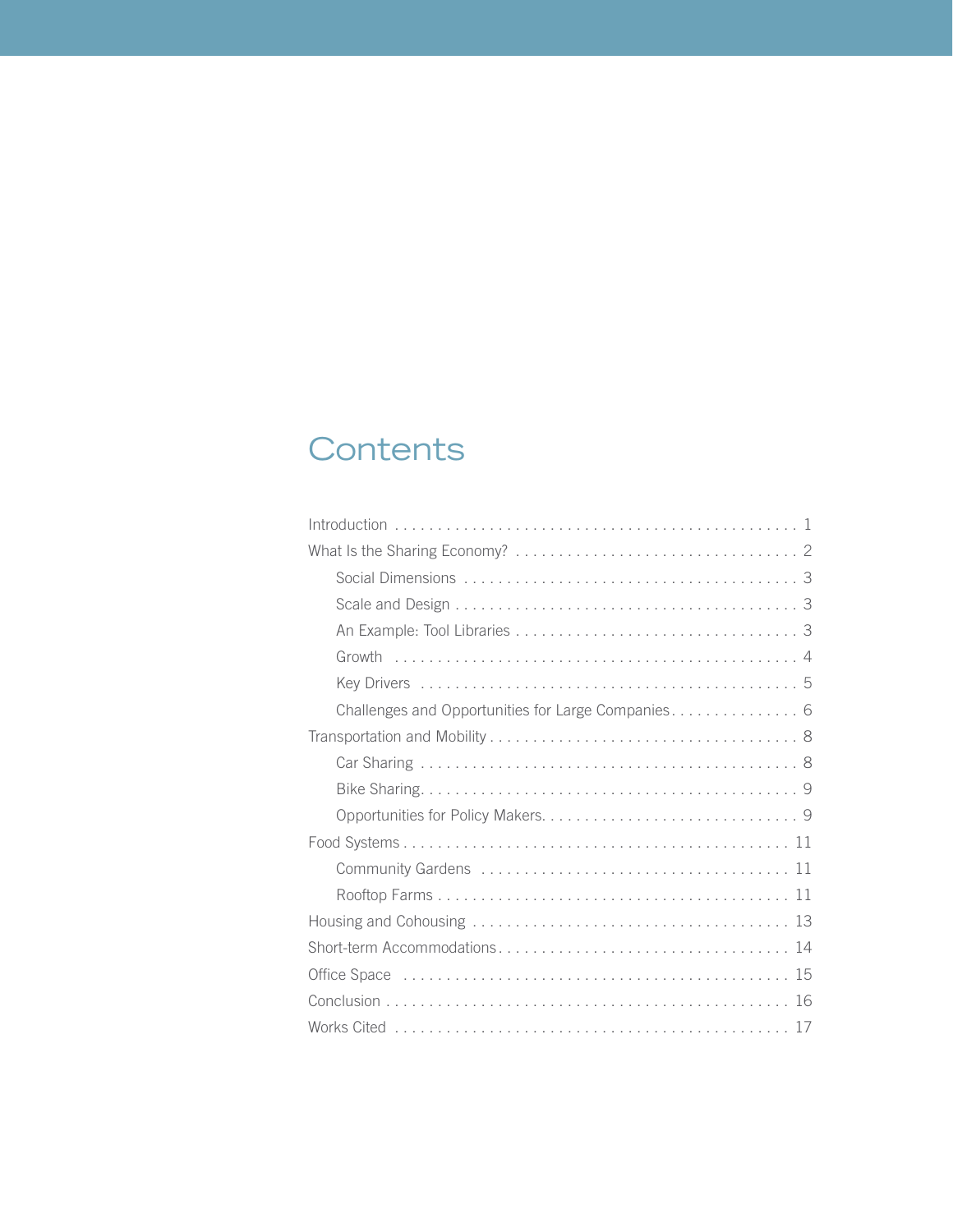# **Contents**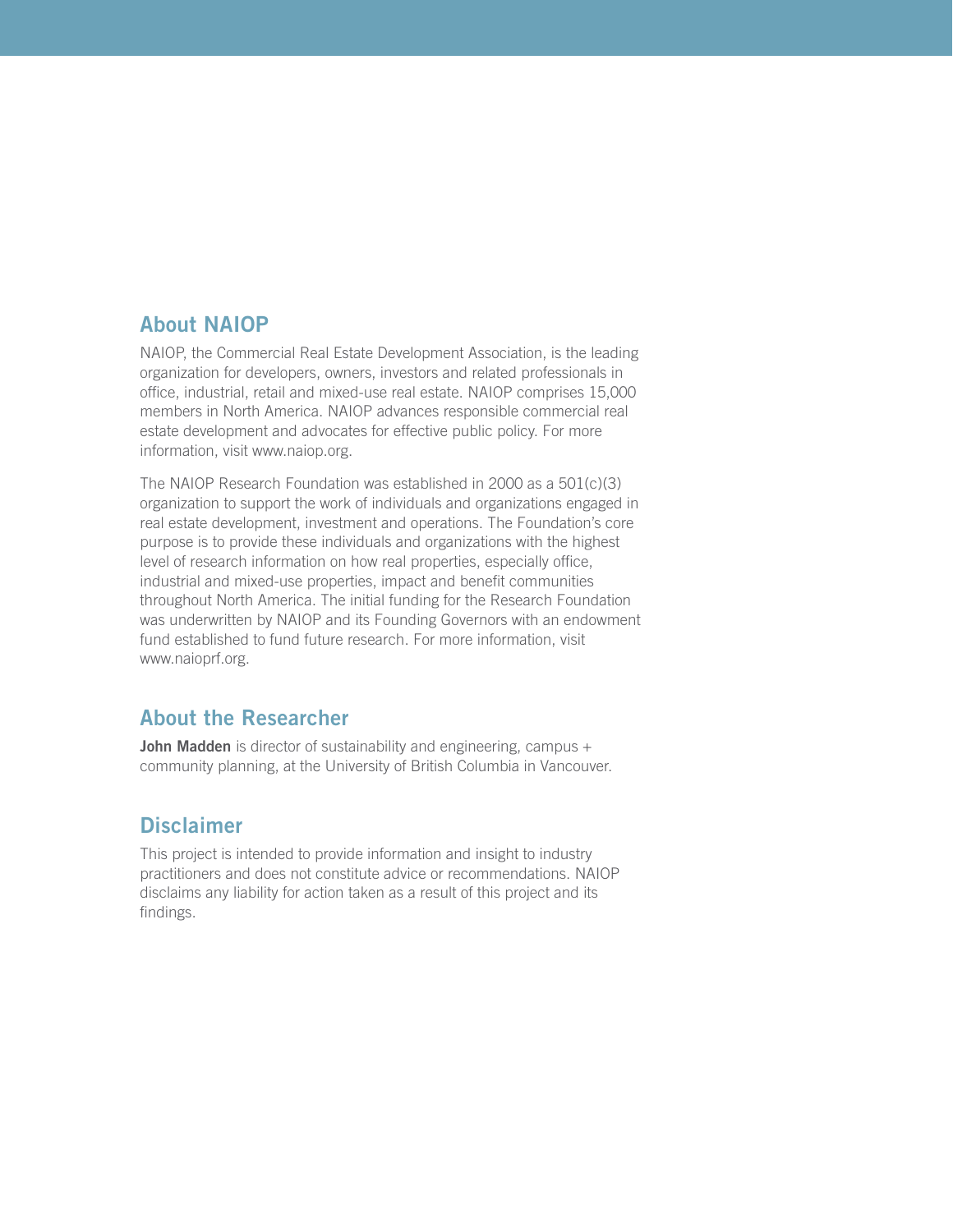### About NAIOP

NAIOP, the Commercial Real Estate Development Association, is the leading organization for developers, owners, investors and related professionals in office, industrial, retail and mixed-use real estate. NAIOP comprises 15,000 members in North America. NAIOP advances responsible commercial real estate development and advocates for effective public policy. For more information, visit www.naiop.org.

The NAIOP Research Foundation was established in 2000 as a 501(c)(3) organization to support the work of individuals and organizations engaged in real estate development, investment and operations. The Foundation's core purpose is to provide these individuals and organizations with the highest level of research information on how real properties, especially office, industrial and mixed-use properties, impact and benefit communities throughout North America. The initial funding for the Research Foundation was underwritten by NAIOP and its Founding Governors with an endowment fund established to fund future research. For more information, visit www.naioprf.org.

### About the Researcher

**John Madden** is director of sustainability and engineering, campus + community planning, at the University of British Columbia in Vancouver.

### **Disclaimer**

This project is intended to provide information and insight to industry practitioners and does not constitute advice or recommendations. NAIOP disclaims any liability for action taken as a result of this project and its findings.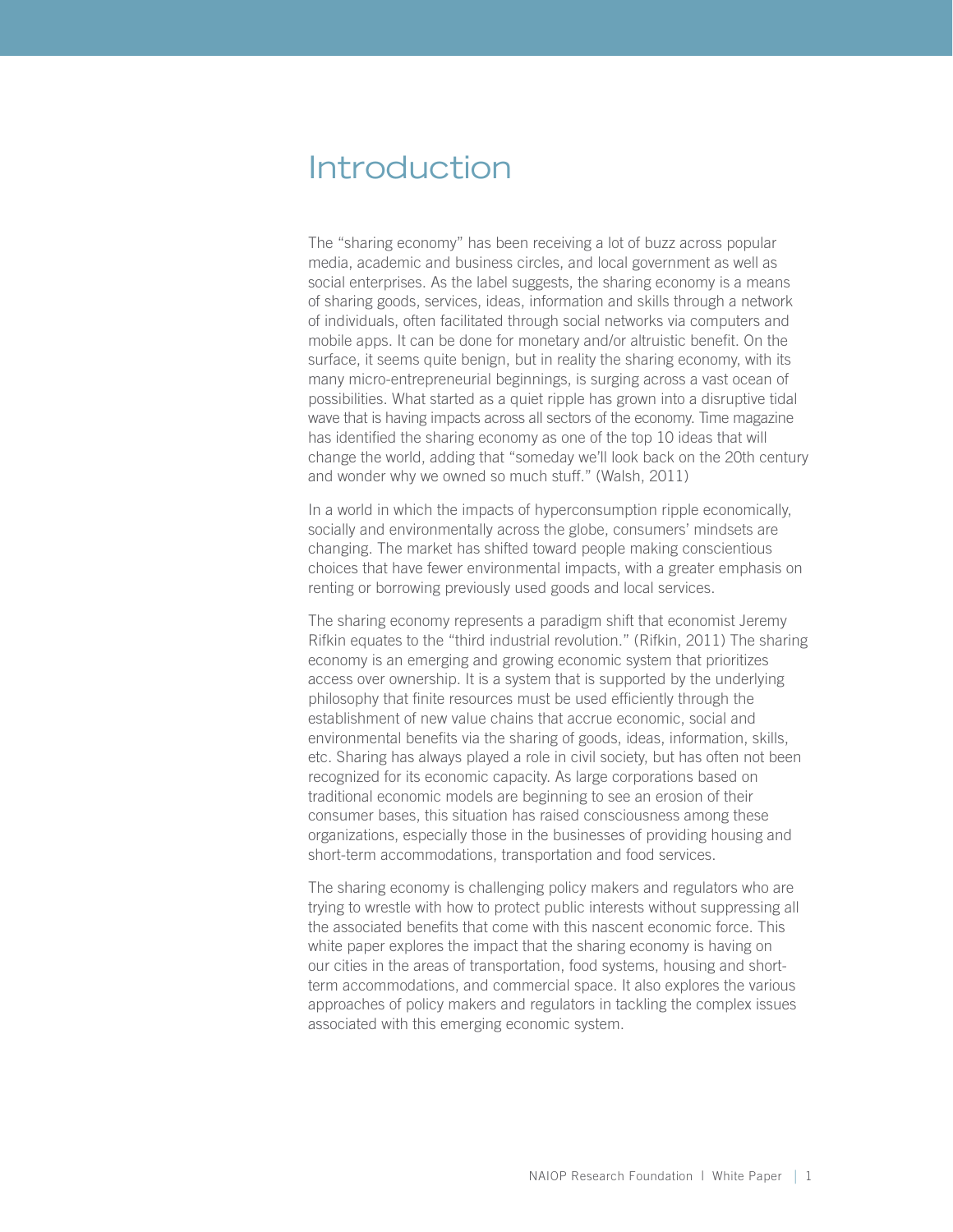### <span id="page-4-0"></span>Introduction

The "sharing economy" has been receiving a lot of buzz across popular media, academic and business circles, and local government as well as social enterprises. As the label suggests, the sharing economy is a means of sharing goods, services, ideas, information and skills through a network of individuals, often facilitated through social networks via computers and mobile apps. It can be done for monetary and/or altruistic benefit. On the surface, it seems quite benign, but in reality the sharing economy, with its many micro-entrepreneurial beginnings, is surging across a vast ocean of possibilities. What started as a quiet ripple has grown into a disruptive tidal wave that is having impacts across all sectors of the economy. Time magazine has identified the sharing economy as one of the top 10 ideas that will change the world, adding that "someday we'll look back on the 20th century and wonder why we owned so much stuff." (Walsh, 2011)

In a world in which the impacts of hyperconsumption ripple economically, socially and environmentally across the globe, consumers' mindsets are changing. The market has shifted toward people making conscientious choices that have fewer environmental impacts, with a greater emphasis on renting or borrowing previously used goods and local services.

The sharing economy represents a paradigm shift that economist Jeremy Rifkin equates to the "third industrial revolution." (Rifkin, 2011) The sharing economy is an emerging and growing economic system that prioritizes access over ownership. It is a system that is supported by the underlying philosophy that finite resources must be used efficiently through the establishment of new value chains that accrue economic, social and environmental benefits via the sharing of goods, ideas, information, skills, etc. Sharing has always played a role in civil society, but has often not been recognized for its economic capacity. As large corporations based on traditional economic models are beginning to see an erosion of their consumer bases, this situation has raised consciousness among these organizations, especially those in the businesses of providing housing and short-term accommodations, transportation and food services.

The sharing economy is challenging policy makers and regulators who are trying to wrestle with how to protect public interests without suppressing all the associated benefits that come with this nascent economic force. This white paper explores the impact that the sharing economy is having on our cities in the areas of transportation, food systems, housing and shortterm accommodations, and commercial space. It also explores the various approaches of policy makers and regulators in tackling the complex issues associated with this emerging economic system.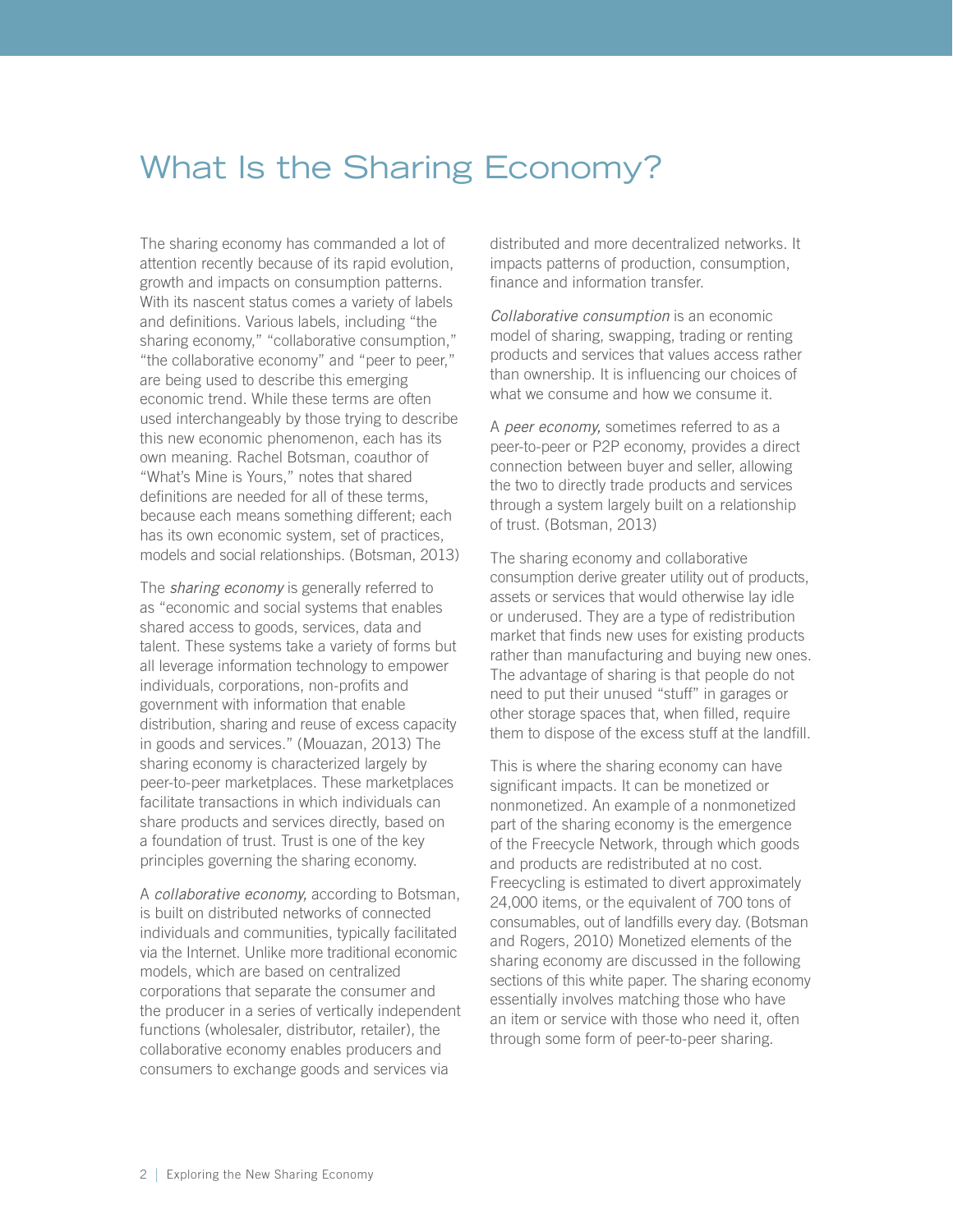# <span id="page-5-0"></span>What Is the Sharing Economy?

The sharing economy has commanded a lot of attention recently because of its rapid evolution, growth and impacts on consumption patterns. With its nascent status comes a variety of labels and definitions. Various labels, including "the sharing economy," "collaborative consumption," "the collaborative economy" and "peer to peer," are being used to describe this emerging economic trend. While these terms are often used interchangeably by those trying to describe this new economic phenomenon, each has its own meaning. Rachel Botsman, coauthor of "What's Mine is Yours," notes that shared definitions are needed for all of these terms, because each means something different; each has its own economic system, set of practices, models and social relationships. (Botsman, 2013)

The *sharing economy* is generally referred to as "economic and social systems that enables shared access to goods, services, data and talent. These systems take a variety of forms but all leverage information technology to empower individuals, corporations, non-profits and government with information that enable distribution, sharing and reuse of excess capacity in goods and services." (Mouazan, 2013) The sharing economy is characterized largely by peer-to-peer marketplaces. These marketplaces facilitate transactions in which individuals can share products and services directly, based on a foundation of trust. Trust is one of the key principles governing the sharing economy.

A *collaborative economy,* according to Botsman, is built on distributed networks of connected individuals and communities, typically facilitated via the Internet. Unlike more traditional economic models, which are based on centralized corporations that separate the consumer and the producer in a series of vertically independent functions (wholesaler, distributor, retailer), the collaborative economy enables producers and consumers to exchange goods and services via

distributed and more decentralized networks. It impacts patterns of production, consumption, finance and information transfer.

*Collaborative consumption* is an economic model of sharing, swapping, trading or renting products and services that values access rather than ownership. It is influencing our choices of what we consume and how we consume it.

A *peer economy,* sometimes referred to as a peer-to-peer or P2P economy, provides a direct connection between buyer and seller, allowing the two to directly trade products and services through a system largely built on a relationship of trust. (Botsman, 2013)

The sharing economy and collaborative consumption derive greater utility out of products, assets or services that would otherwise lay idle or underused. They are a type of redistribution market that finds new uses for existing products rather than manufacturing and buying new ones. The advantage of sharing is that people do not need to put their unused "stuff" in garages or other storage spaces that, when filled, require them to dispose of the excess stuff at the landfill.

This is where the sharing economy can have significant impacts. It can be monetized or nonmonetized. An example of a nonmonetized part of the sharing economy is the emergence of the Freecycle Network, through which goods and products are redistributed at no cost. Freecycling is estimated to divert approximately 24,000 items, or the equivalent of 700 tons of consumables, out of landfills every day. (Botsman and Rogers, 2010) Monetized elements of the sharing economy are discussed in the following sections of this white paper. The sharing economy essentially involves matching those who have an item or service with those who need it, often through some form of peer-to-peer sharing.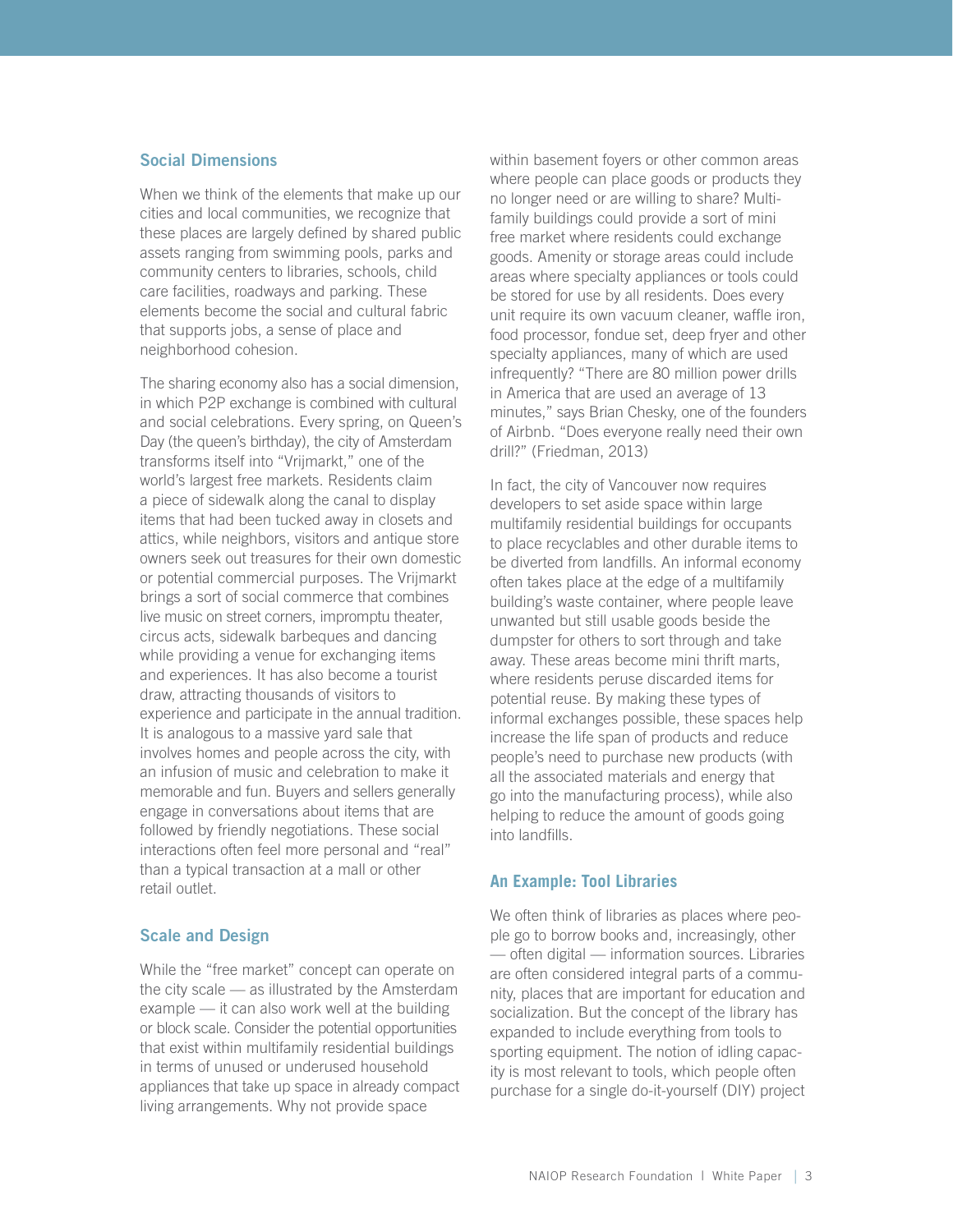#### <span id="page-6-0"></span>Social Dimensions

When we think of the elements that make up our cities and local communities, we recognize that these places are largely defined by shared public assets ranging from swimming pools, parks and community centers to libraries, schools, child care facilities, roadways and parking. These elements become the social and cultural fabric that supports jobs, a sense of place and neighborhood cohesion.

The sharing economy also has a social dimension, in which P2P exchange is combined with cultural and social celebrations. Every spring, on Queen's Day (the queen's birthday), the city of Amsterdam transforms itself into "Vrijmarkt," one of the world's largest free markets. Residents claim a piece of sidewalk along the canal to display items that had been tucked away in closets and attics, while neighbors, visitors and antique store owners seek out treasures for their own domestic or potential commercial purposes. The Vrijmarkt brings a sort of social commerce that combines live music on street corners, impromptu theater, circus acts, sidewalk barbeques and dancing while providing a venue for exchanging items and experiences. It has also become a tourist draw, attracting thousands of visitors to experience and participate in the annual tradition. It is analogous to a massive yard sale that involves homes and people across the city, with an infusion of music and celebration to make it memorable and fun. Buyers and sellers generally engage in conversations about items that are followed by friendly negotiations. These social interactions often feel more personal and "real" than a typical transaction at a mall or other retail outlet.

### Scale and Design

While the "free market" concept can operate on the city scale — as illustrated by the Amsterdam example — it can also work well at the building or block scale. Consider the potential opportunities that exist within multifamily residential buildings in terms of unused or underused household appliances that take up space in already compact living arrangements. Why not provide space

within basement foyers or other common areas where people can place goods or products they no longer need or are willing to share? Multifamily buildings could provide a sort of mini free market where residents could exchange goods. Amenity or storage areas could include areas where specialty appliances or tools could be stored for use by all residents. Does every unit require its own vacuum cleaner, waffle iron, food processor, fondue set, deep fryer and other specialty appliances, many of which are used infrequently? "There are 80 million power drills in America that are used an average of 13 minutes," says Brian Chesky, one of the founders of Airbnb. "Does everyone really need their own drill?" (Friedman, 2013)

In fact, the city of Vancouver now requires developers to set aside space within large multifamily residential buildings for occupants to place recyclables and other durable items to be diverted from landfills. An informal economy often takes place at the edge of a multifamily building's waste container, where people leave unwanted but still usable goods beside the dumpster for others to sort through and take away. These areas become mini thrift marts, where residents peruse discarded items for potential reuse. By making these types of informal exchanges possible, these spaces help increase the life span of products and reduce people's need to purchase new products (with all the associated materials and energy that go into the manufacturing process), while also helping to reduce the amount of goods going into landfills.

#### **An Example: Tool Libraries**

We often think of libraries as places where people go to borrow books and, increasingly, other — often digital — information sources. Libraries are often considered integral parts of a community, places that are important for education and socialization. But the concept of the library has expanded to include everything from tools to sporting equipment. The notion of idling capacity is most relevant to tools, which people often purchase for a single do-it-yourself (DIY) project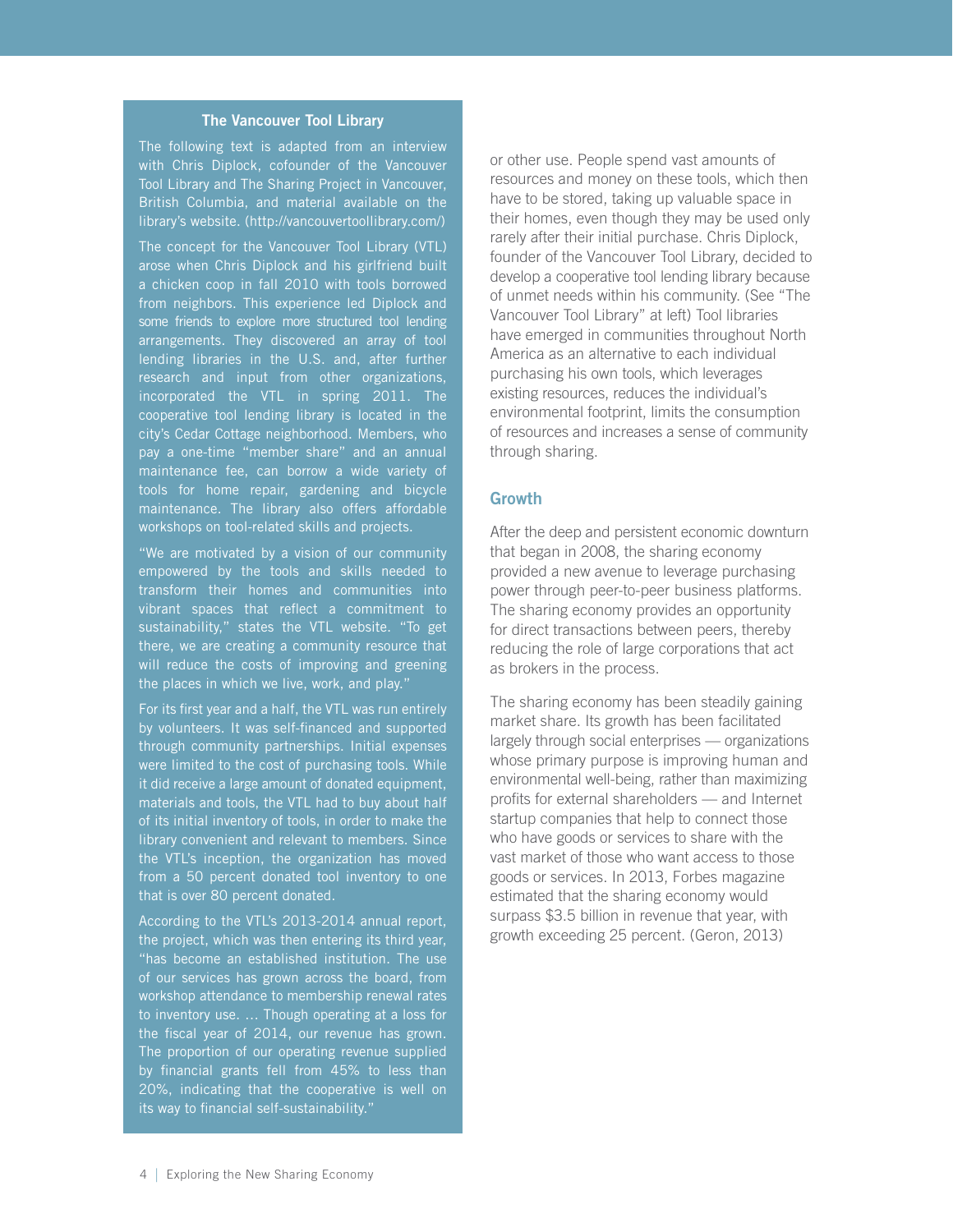#### The Vancouver Tool Library

<span id="page-7-0"></span>The following text is adapted from an interview with Chris Diplock, cofounder of the Vancouver Tool Library and The Sharing Project in Vancouver, British Columbia, and material available on the library's website. (http://vancouvertoollibrary.com/)

The concept for the Vancouver Tool Library (VTL) arose when Chris Diplock and his girlfriend built a chicken coop in fall 2010 with tools borrowed from neighbors. This experience led Diplock and some friends to explore more structured tool lending arrangements. They discovered an array of tool lending libraries in the U.S. and, after further research and input from other organizations, incorporated the VTL in spring 2011. The cooperative tool lending library is located in the city's Cedar Cottage neighborhood. Members, who pay a one-time "member share" and an annuaI maintenance fee, can borrow a wide variety of tools for home repair, gardening and bicycle maintenance. The library also offers affordable workshops on tool-related skills and projects.

"We are motivated by a vision of our community empowered by the tools and skills needed to transform their homes and communities into vibrant spaces that reflect a commitment to sustainability," states the VTL website. "To get there, we are creating a community resource that will reduce the costs of improving and greening the places in which we live, work, and play."

For its first year and a half, the VTL was run entirely by volunteers. It was self-financed and supported through community partnerships. Initial expenses were limited to the cost of purchasing tools. While it did receive a large amount of donated equipment, materials and tools, the VTL had to buy about half of its initial inventory of tools, in order to make the library convenient and relevant to members. Since the VTL's inception, the organization has moved from a 50 percent donated tool inventory to one that is over 80 percent donated.

According to the VTL's 2013-2014 annual report, the project, which was then entering its third year, of our services has grown across the board, from workshop attendance to membership renewal rates to inventory use. … Though operating at a loss for the fiscal year of 2014, our revenue has grown. The proportion of our operating revenue supplied by financial grants fell from 45% to less than 20%, indicating that the cooperative is well on its way to financial self-sustainability."

or other use. People spend vast amounts of resources and money on these tools, which then have to be stored, taking up valuable space in their homes, even though they may be used only rarely after their initial purchase. Chris Diplock, founder of the Vancouver Tool Library, decided to develop a cooperative tool lending library because of unmet needs within his community. (See "The Vancouver Tool Library" at left) Tool libraries have emerged in communities throughout North America as an alternative to each individual purchasing his own tools, which leverages existing resources, reduces the individual's environmental footprint, limits the consumption of resources and increases a sense of community through sharing.

#### **Growth**

After the deep and persistent economic downturn that began in 2008, the sharing economy provided a new avenue to leverage purchasing power through peer-to-peer business platforms. The sharing economy provides an opportunity for direct transactions between peers, thereby reducing the role of large corporations that act as brokers in the process.

The sharing economy has been steadily gaining market share. Its growth has been facilitated largely through social enterprises — organizations whose primary purpose is improving human and environmental well-being, rather than maximizing profits for external shareholders — and Internet startup companies that help to connect those who have goods or services to share with the vast market of those who want access to those goods or services. In 2013, Forbes magazine estimated that the sharing economy would surpass \$3.5 billion in revenue that year, with growth exceeding 25 percent. (Geron, 2013)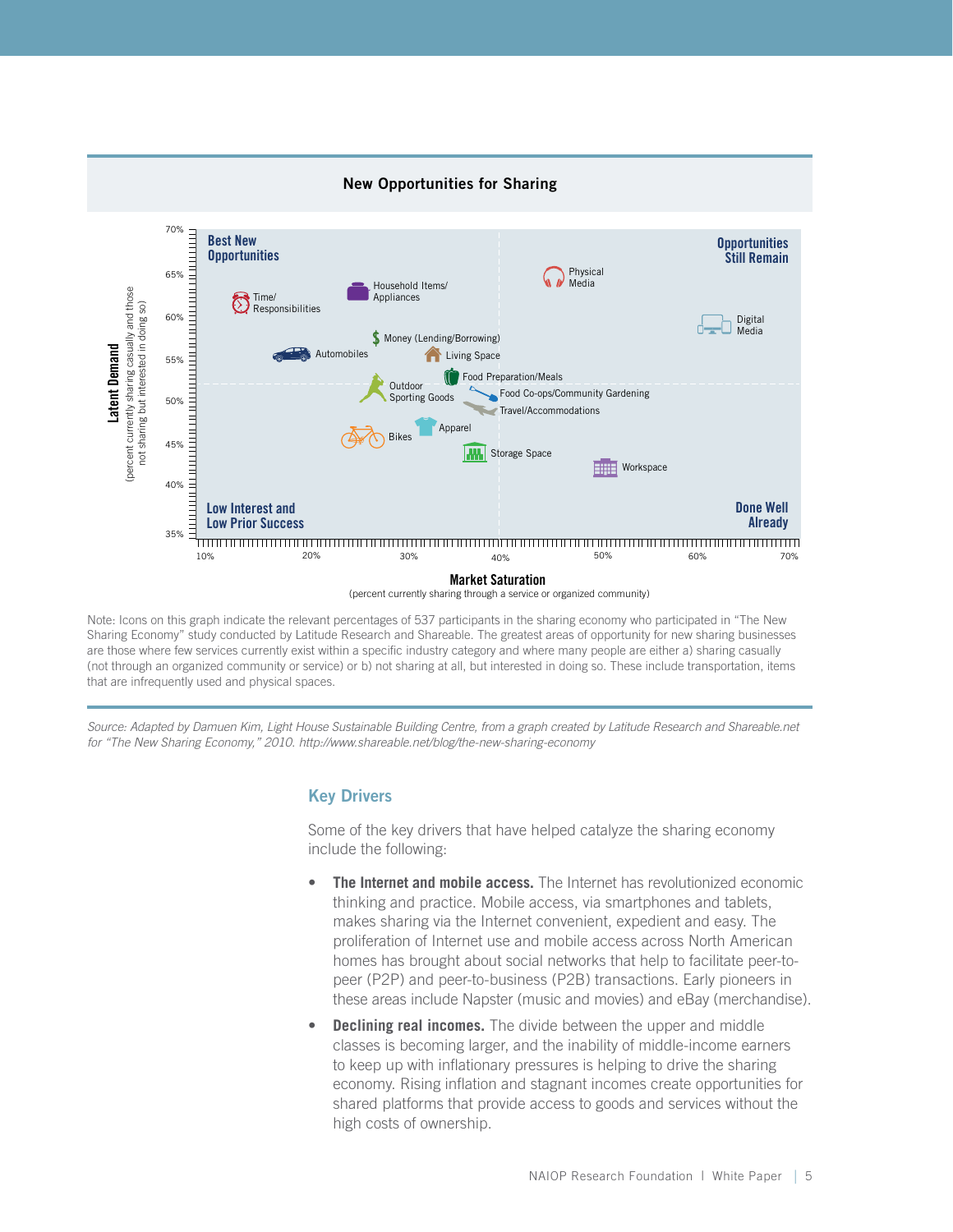<span id="page-8-0"></span>

Note: Icons on this graph indicate the relevant percentages of 537 participants in the sharing economy who participated in "The New Sharing Economy" study conducted by Latitude Research and Shareable. The greatest areas of opportunity for new sharing businesses are those where few services currently exist within a specific industry category and where many people are either a) sharing casually (not through an organized community or service) or b) not sharing at all, but interested in doing so. These include transportation, items that are infrequently used and physical spaces.

Source: Adapted by Damuen Kim, Light House Sustainable Building Centre, from a graph created by Latitude Research and Shareable.net *for "The New Sharing Economy," 2010. http://www.shareable.net/blog/the-new-sharing-economy*

#### Key Drivers

Some of the key drivers that have helped catalyze the sharing economy include the following:

- **The Internet and mobile access.** The Internet has revolutionized economic thinking and practice. Mobile access, via smartphones and tablets, makes sharing via the Internet convenient, expedient and easy. The proliferation of Internet use and mobile access across North American homes has brought about social networks that help to facilitate peer-topeer (P2P) and peer-to-business (P2B) transactions. Early pioneers in these areas include Napster (music and movies) and eBay (merchandise).
- **Declining real incomes.** The divide between the upper and middle classes is becoming larger, and the inability of middle-income earners to keep up with inflationary pressures is helping to drive the sharing economy. Rising inflation and stagnant incomes create opportunities for shared platforms that provide access to goods and services without the high costs of ownership.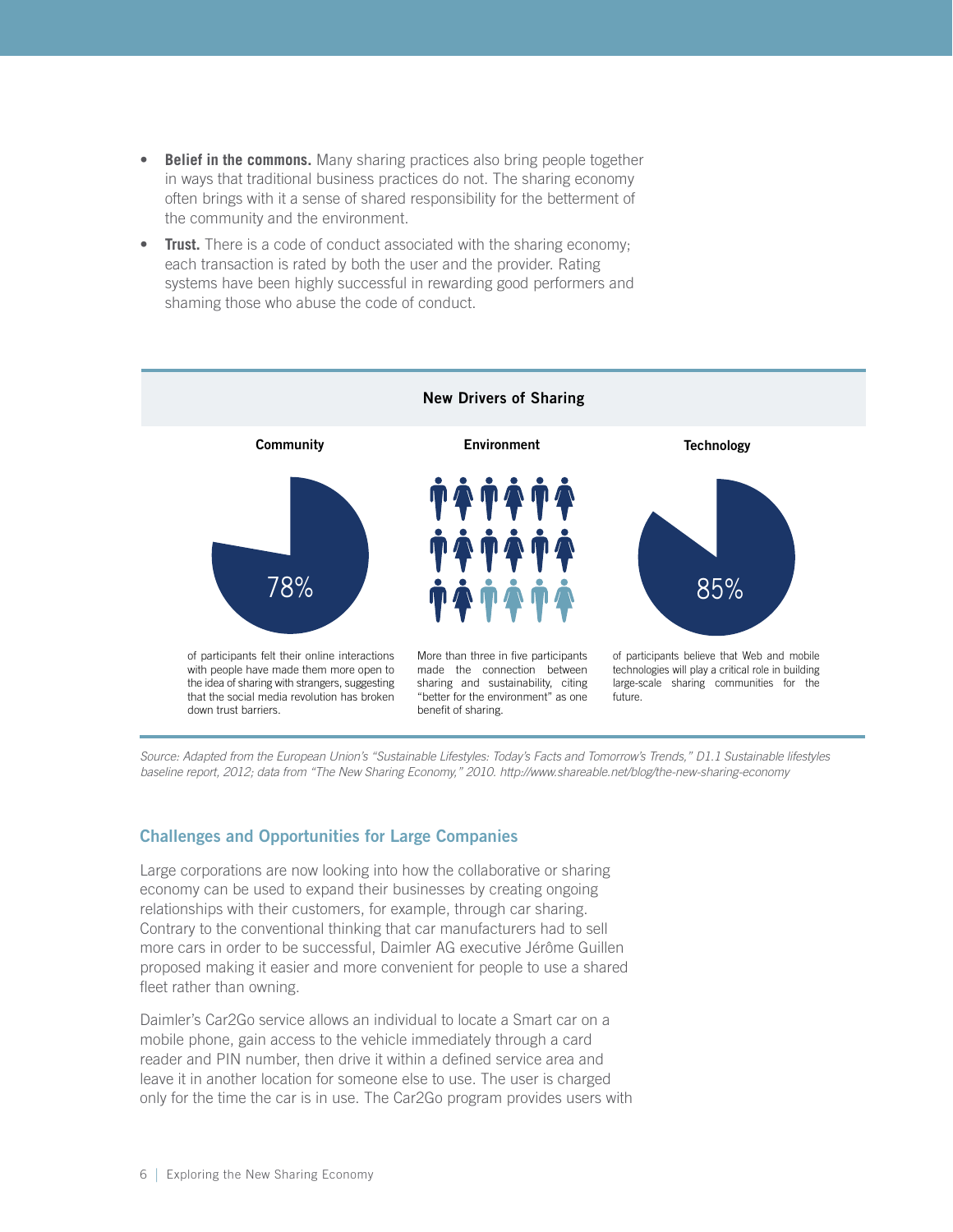- <span id="page-9-0"></span>**Belief in the commons.** Many sharing practices also bring people together in ways that traditional business practices do not. The sharing economy often brings with it a sense of shared responsibility for the betterment of the community and the environment.
- **Trust.** There is a code of conduct associated with the sharing economy; each transaction is rated by both the user and the provider. Rating systems have been highly successful in rewarding good performers and shaming those who abuse the code of conduct.



*Source: Adapted from the European Union's "Sustainable Lifestyles: Today's Facts and Tomorrow's Trends," D1.1 Sustainable lifestyles baseline report, 2012; data from "The New Sharing Economy," 2010. http://www.shareable.net/blog/the-new-sharing-economy*

### Challenges and Opportunities for Large Companies

Large corporations are now looking into how the collaborative or sharing economy can be used to expand their businesses by creating ongoing relationships with their customers, for example, through car sharing. Contrary to the conventional thinking that car manufacturers had to sell more cars in order to be successful, Daimler AG executive Jérôme Guillen proposed making it easier and more convenient for people to use a shared fleet rather than owning.

Daimler's Car2Go service allows an individual to locate a Smart car on a mobile phone, gain access to the vehicle immediately through a card reader and PIN number, then drive it within a defined service area and leave it in another location for someone else to use. The user is charged only for the time the car is in use. The Car2Go program provides users with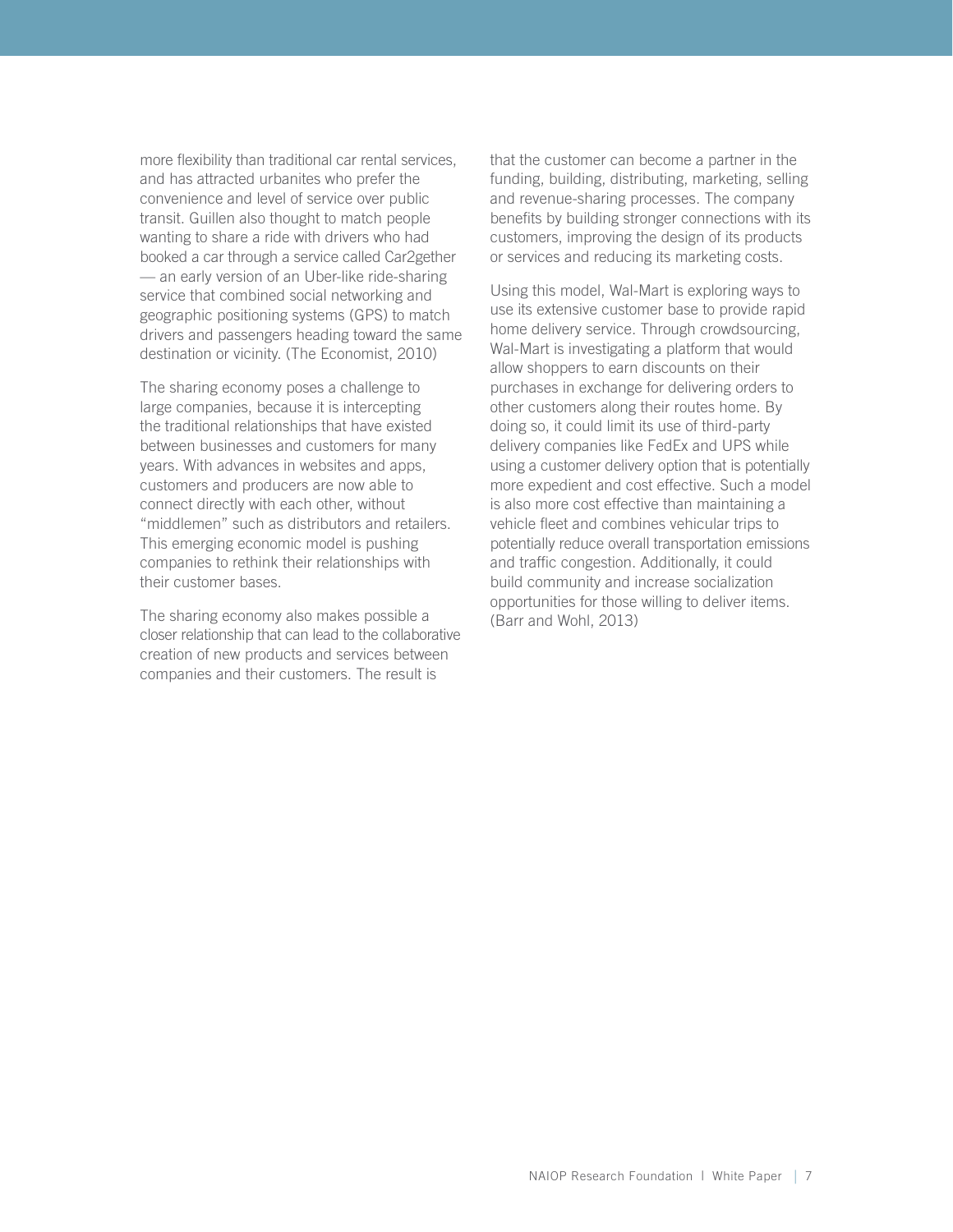more flexibility than traditional car rental services, and has attracted urbanites who prefer the convenience and level of service over public transit. Guillen also thought to match people wanting to share a ride with drivers who had booked a car through a service called Car2gether — an early version of an Uber-like ride-sharing service that combined social networking and geographic positioning systems (GPS) to match drivers and passengers heading toward the same destination or vicinity. (The Economist, 2010)

The sharing economy poses a challenge to large companies, because it is intercepting the traditional relationships that have existed between businesses and customers for many years. With advances in websites and apps, customers and producers are now able to connect directly with each other, without "middlemen" such as distributors and retailers. This emerging economic model is pushing companies to rethink their relationships with their customer bases.

The sharing economy also makes possible a closer relationship that can lead to the collaborative creation of new products and services between companies and their customers. The result is

that the customer can become a partner in the funding, building, distributing, marketing, selling and revenue-sharing processes. The company benefits by building stronger connections with its customers, improving the design of its products or services and reducing its marketing costs.

Using this model, Wal-Mart is exploring ways to use its extensive customer base to provide rapid home delivery service. Through crowdsourcing, Wal-Mart is investigating a platform that would allow shoppers to earn discounts on their purchases in exchange for delivering orders to other customers along their routes home. By doing so, it could limit its use of third-party delivery companies like FedEx and UPS while using a customer delivery option that is potentially more expedient and cost effective. Such a model is also more cost effective than maintaining a vehicle fleet and combines vehicular trips to potentially reduce overall transportation emissions and traffic congestion. Additionally, it could build community and increase socialization opportunities for those willing to deliver items. (Barr and Wohl, 2013)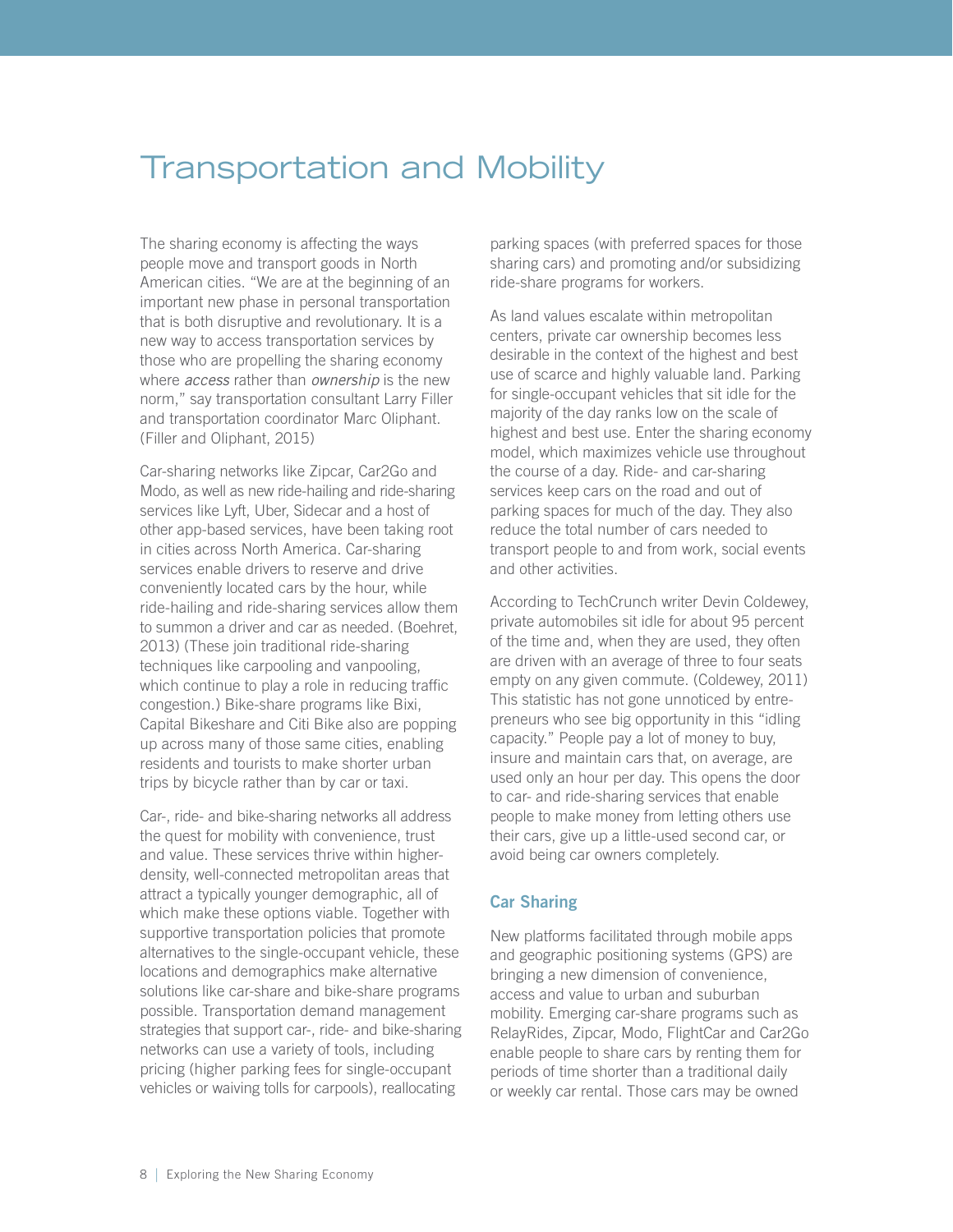# <span id="page-11-0"></span>Transportation and Mobility

The sharing economy is affecting the ways people move and transport goods in North American cities. "We are at the beginning of an important new phase in personal transportation that is both disruptive and revolutionary. It is a new way to access transportation services by those who are propelling the sharing economy where *access* rather than *ownership* is the new norm," say transportation consultant Larry Filler and transportation coordinator Marc Oliphant. (Filler and Oliphant, 2015)

Car-sharing networks like Zipcar, Car2Go and Modo, as well as new ride-hailing and ride-sharing services like Lyft, Uber, Sidecar and a host of other app-based services, have been taking root in cities across North America. Car-sharing services enable drivers to reserve and drive conveniently located cars by the hour, while ride-hailing and ride-sharing services allow them to summon a driver and car as needed. (Boehret, 2013) (These join traditional ride-sharing techniques like carpooling and vanpooling, which continue to play a role in reducing traffic congestion.) Bike-share programs like Bixi, Capital Bikeshare and Citi Bike also are popping up across many of those same cities, enabling residents and tourists to make shorter urban trips by bicycle rather than by car or taxi.

Car-, ride- and bike-sharing networks all address the quest for mobility with convenience, trust and value. These services thrive within higherdensity, well-connected metropolitan areas that attract a typically younger demographic, all of which make these options viable. Together with supportive transportation policies that promote alternatives to the single-occupant vehicle, these locations and demographics make alternative solutions like car-share and bike-share programs possible. Transportation demand management strategies that support car-, ride- and bike-sharing networks can use a variety of tools, including pricing (higher parking fees for single-occupant vehicles or waiving tolls for carpools), reallocating

parking spaces (with preferred spaces for those sharing cars) and promoting and/or subsidizing ride-share programs for workers.

As land values escalate within metropolitan centers, private car ownership becomes less desirable in the context of the highest and best use of scarce and highly valuable land. Parking for single-occupant vehicles that sit idle for the majority of the day ranks low on the scale of highest and best use. Enter the sharing economy model, which maximizes vehicle use throughout the course of a day. Ride- and car-sharing services keep cars on the road and out of parking spaces for much of the day. They also reduce the total number of cars needed to transport people to and from work, social events and other activities.

According to TechCrunch writer Devin Coldewey, private automobiles sit idle for about 95 percent of the time and, when they are used, they often are driven with an average of three to four seats empty on any given commute. (Coldewey, 2011) This statistic has not gone unnoticed by entrepreneurs who see big opportunity in this "idling capacity." People pay a lot of money to buy, insure and maintain cars that, on average, are used only an hour per day. This opens the door to car- and ride-sharing services that enable people to make money from letting others use their cars, give up a little-used second car, or avoid being car owners completely.

### Car Sharing

New platforms facilitated through mobile apps and geographic positioning systems (GPS) are bringing a new dimension of convenience, access and value to urban and suburban mobility. Emerging car-share programs such as RelayRides, Zipcar, Modo, FlightCar and Car2Go enable people to share cars by renting them for periods of time shorter than a traditional daily or weekly car rental. Those cars may be owned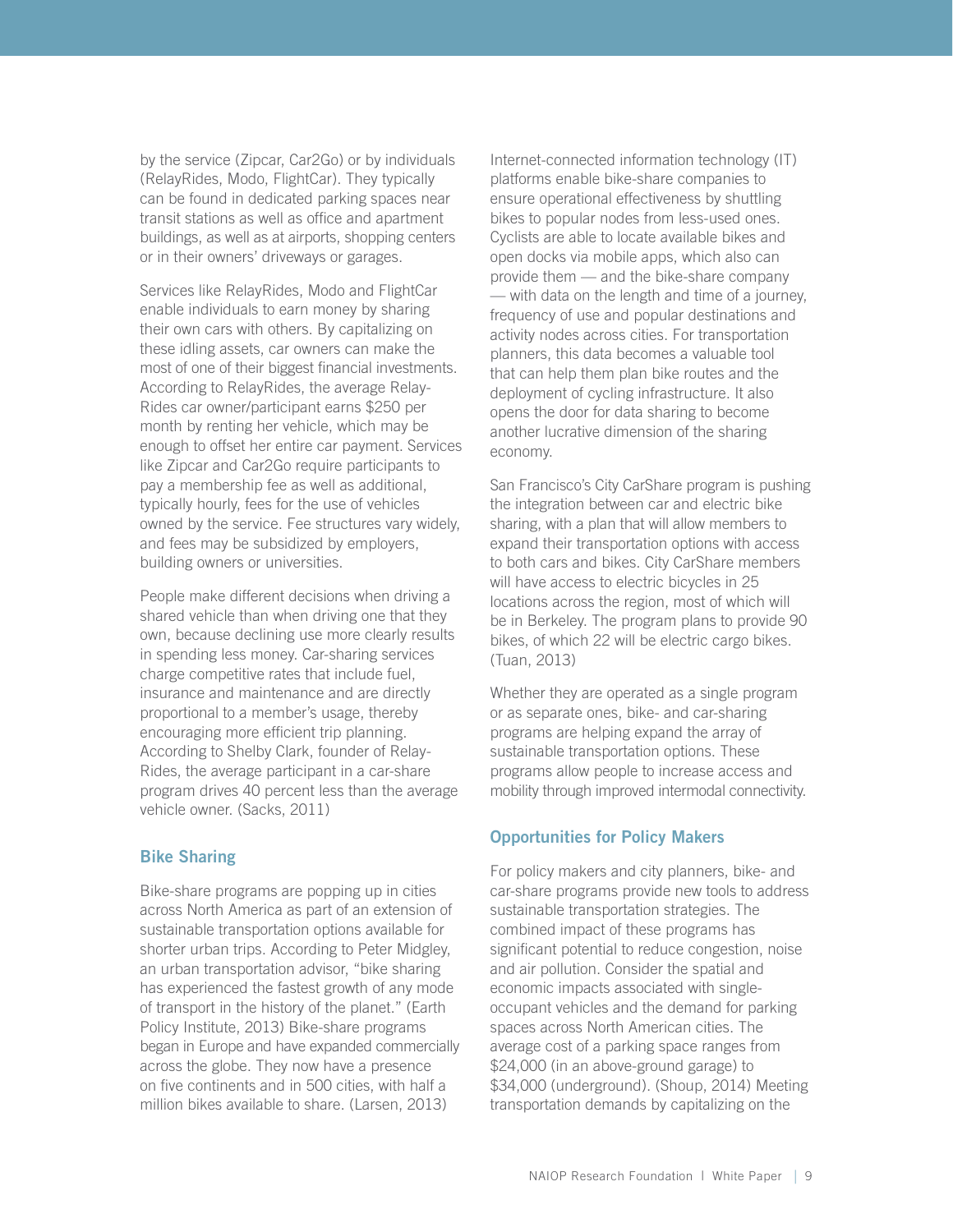<span id="page-12-0"></span>by the service (Zipcar, Car2Go) or by individuals (RelayRides, Modo, FlightCar). They typically can be found in dedicated parking spaces near transit stations as well as office and apartment buildings, as well as at airports, shopping centers or in their owners' driveways or garages.

Services like RelayRides, Modo and FlightCar enable individuals to earn money by sharing their own cars with others. By capitalizing on these idling assets, car owners can make the most of one of their biggest financial investments. According to RelayRides, the average Relay-Rides car owner/participant earns \$250 per month by renting her vehicle, which may be enough to offset her entire car payment. Services like Zipcar and Car2Go require participants to pay a membership fee as well as additional, typically hourly, fees for the use of vehicles owned by the service. Fee structures vary widely, and fees may be subsidized by employers, building owners or universities.

People make different decisions when driving a shared vehicle than when driving one that they own, because declining use more clearly results in spending less money. Car-sharing services charge competitive rates that include fuel, insurance and maintenance and are directly proportional to a member's usage, thereby encouraging more efficient trip planning. According to Shelby Clark, founder of Relay-Rides, the average participant in a car-share program drives 40 percent less than the average vehicle owner. (Sacks, 2011)

### Bike Sharing

Bike-share programs are popping up in cities across North America as part of an extension of sustainable transportation options available for shorter urban trips. According to Peter Midgley, an urban transportation advisor, "bike sharing has experienced the fastest growth of any mode of transport in the history of the planet." (Earth Policy Institute, 2013) Bike-share programs began in Europe and have expanded commercially across the globe. They now have a presence on five continents and in 500 cities, with half a million bikes available to share. (Larsen, 2013)

Internet-connected information technology (IT) platforms enable bike-share companies to ensure operational effectiveness by shuttling bikes to popular nodes from less-used ones. Cyclists are able to locate available bikes and open docks via mobile apps, which also can provide them — and the bike-share company — with data on the length and time of a journey, frequency of use and popular destinations and activity nodes across cities. For transportation planners, this data becomes a valuable tool that can help them plan bike routes and the deployment of cycling infrastructure. It also opens the door for data sharing to become another lucrative dimension of the sharing economy.

San Francisco's City CarShare program is pushing the integration between car and electric bike sharing, with a plan that will allow members to expand their transportation options with access to both cars and bikes. City CarShare members will have access to electric bicycles in 25 locations across the region, most of which will be in Berkeley. The program plans to provide 90 bikes, of which 22 will be electric cargo bikes. (Tuan, 2013)

Whether they are operated as a single program or as separate ones, bike- and car-sharing programs are helping expand the array of sustainable transportation options. These programs allow people to increase access and mobility through improved intermodal connectivity.

### Opportunities for Policy Makers

For policy makers and city planners, bike- and car-share programs provide new tools to address sustainable transportation strategies. The combined impact of these programs has significant potential to reduce congestion, noise and air pollution. Consider the spatial and economic impacts associated with singleoccupant vehicles and the demand for parking spaces across North American cities. The average cost of a parking space ranges from \$24,000 (in an above-ground garage) to \$34,000 (underground). (Shoup, 2014) Meeting transportation demands by capitalizing on the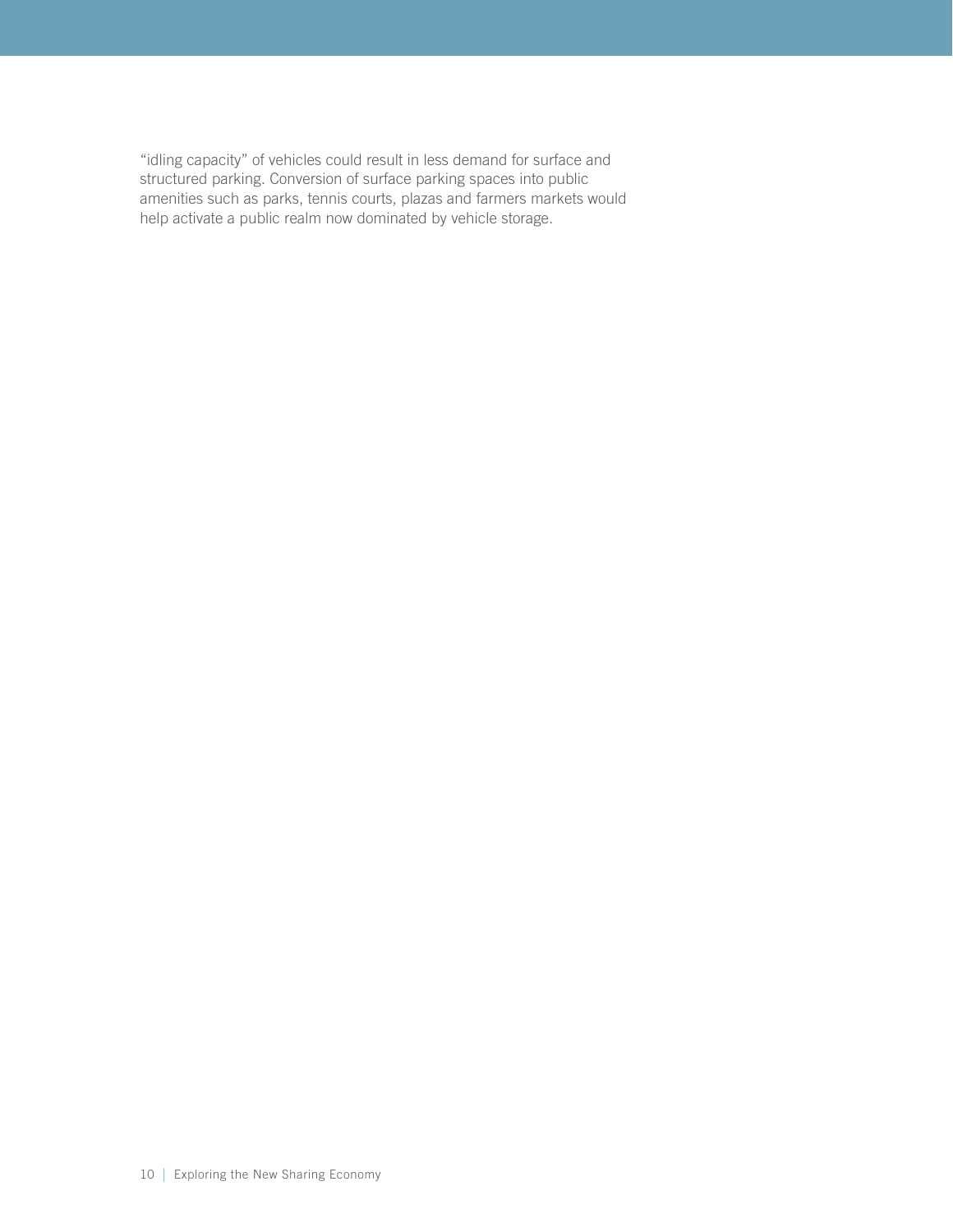"idling capacity" of vehicles could result in less demand for surface and structured parking. Conversion of surface parking spaces into public amenities such as parks, tennis courts, plazas and farmers markets would help activate a public realm now dominated by vehicle storage.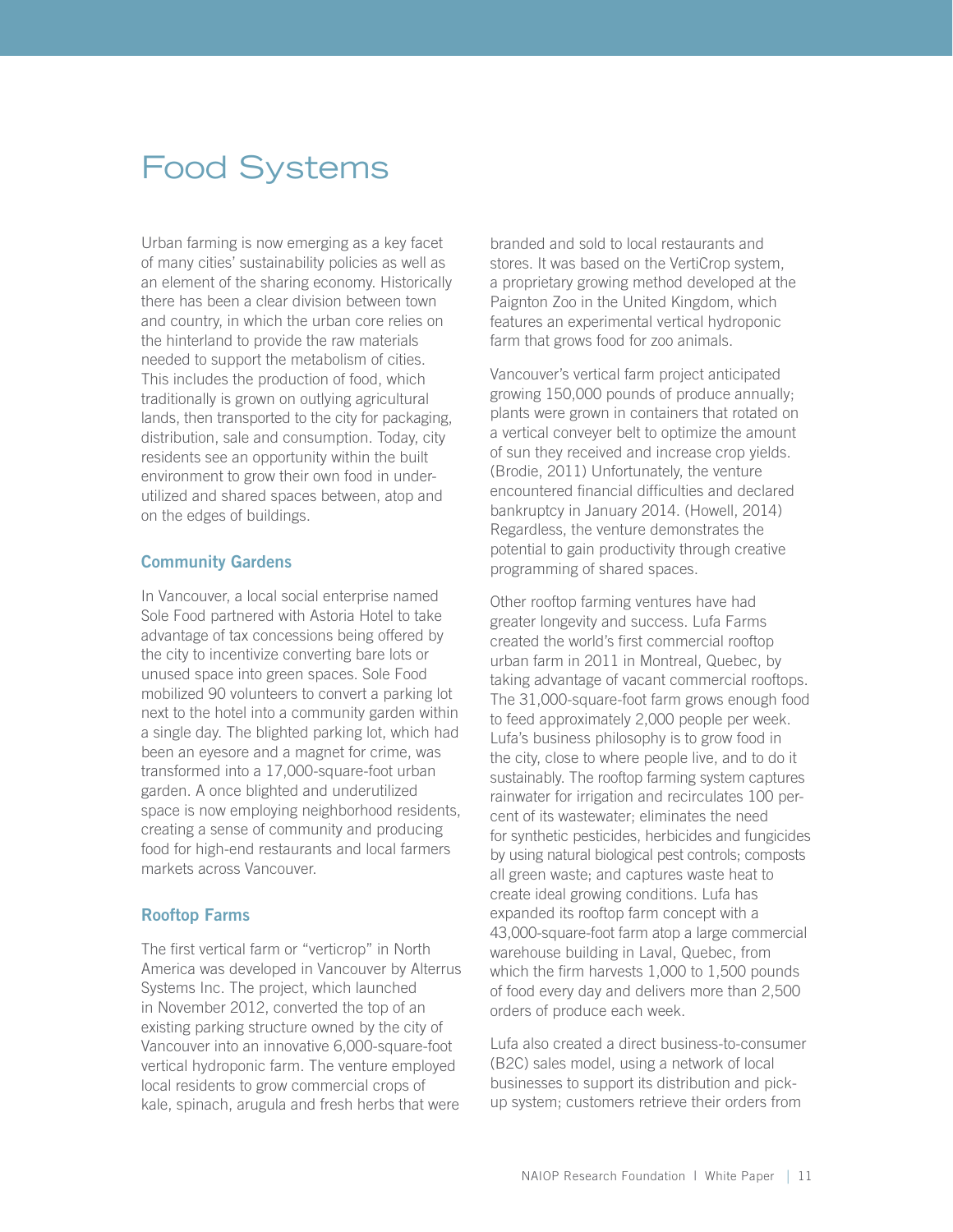# <span id="page-14-0"></span>Food Systems

Urban farming is now emerging as a key facet of many cities' sustainability policies as well as an element of the sharing economy. Historically there has been a clear division between town and country, in which the urban core relies on the hinterland to provide the raw materials needed to support the metabolism of cities. This includes the production of food, which traditionally is grown on outlying agricultural lands, then transported to the city for packaging, distribution, sale and consumption. Today, city residents see an opportunity within the built environment to grow their own food in underutilized and shared spaces between, atop and on the edges of buildings.

#### Community Gardens

In Vancouver, a local social enterprise named Sole Food partnered with Astoria Hotel to take advantage of tax concessions being offered by the city to incentivize converting bare lots or unused space into green spaces. Sole Food mobilized 90 volunteers to convert a parking lot next to the hotel into a community garden within a single day. The blighted parking lot, which had been an eyesore and a magnet for crime, was transformed into a 17,000-square-foot urban garden. A once blighted and underutilized space is now employing neighborhood residents, creating a sense of community and producing food for high-end restaurants and local farmers markets across Vancouver.

### Rooftop Farms

The first vertical farm or "verticrop" in North America was developed in Vancouver by Alterrus Systems Inc. The project, which launched in November 2012, converted the top of an existing parking structure owned by the city of Vancouver into an innovative 6,000-square-foot vertical hydroponic farm. The venture employed local residents to grow commercial crops of kale, spinach, arugula and fresh herbs that were

branded and sold to local restaurants and stores. It was based on the VertiCrop system, a proprietary growing method developed at the Paignton Zoo in the United Kingdom, which features an experimental vertical hydroponic farm that grows food for zoo animals.

Vancouver's vertical farm project anticipated growing 150,000 pounds of produce annually; plants were grown in containers that rotated on a vertical conveyer belt to optimize the amount of sun they received and increase crop yields. (Brodie, 2011) Unfortunately, the venture encountered financial difficulties and declared bankruptcy in January 2014. (Howell, 2014) Regardless, the venture demonstrates the potential to gain productivity through creative programming of shared spaces.

Other rooftop farming ventures have had greater longevity and success. Lufa Farms created the world's first commercial rooftop urban farm in 2011 in Montreal, Quebec, by taking advantage of vacant commercial rooftops. The 31,000-square-foot farm grows enough food to feed approximately 2,000 people per week. Lufa's business philosophy is to grow food in the city, close to where people live, and to do it sustainably. The rooftop farming system captures rainwater for irrigation and recirculates 100 percent of its wastewater; eliminates the need for synthetic pesticides, herbicides and fungicides by using natural biological pest controls; composts all green waste; and captures waste heat to create ideal growing conditions. Lufa has expanded its rooftop farm concept with a 43,000-square-foot farm atop a large commercial warehouse building in Laval, Quebec, from which the firm harvests 1,000 to 1,500 pounds of food every day and delivers more than 2,500 orders of produce each week.

Lufa also created a direct business-to-consumer (B2C) sales model, using a network of local businesses to support its distribution and pickup system; customers retrieve their orders from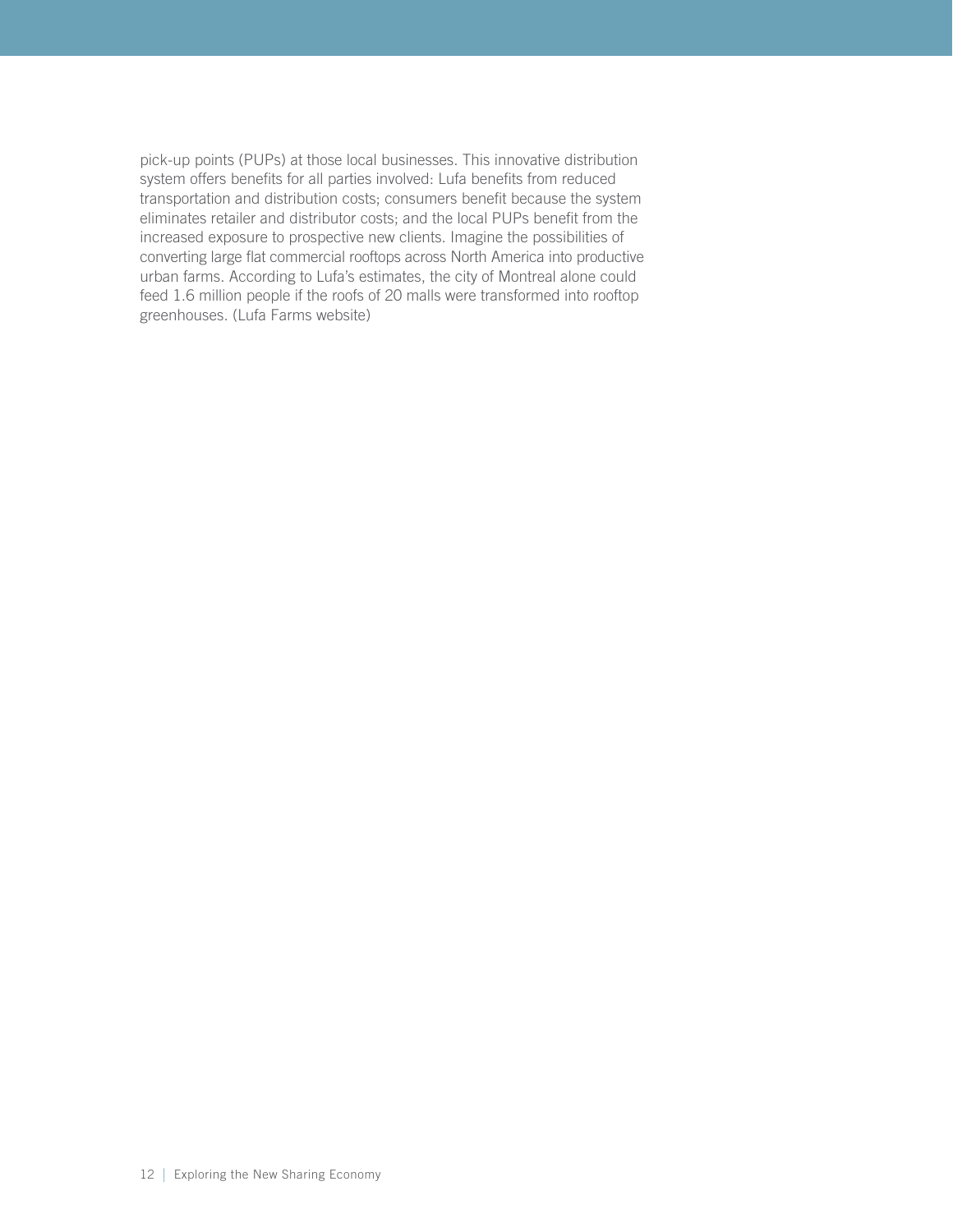pick-up points (PUPs) at those local businesses. This innovative distribution system offers benefits for all parties involved: Lufa benefits from reduced transportation and distribution costs; consumers benefit because the system eliminates retailer and distributor costs; and the local PUPs benefit from the increased exposure to prospective new clients. Imagine the possibilities of converting large flat commercial rooftops across North America into productive urban farms. According to Lufa's estimates, the city of Montreal alone could feed 1.6 million people if the roofs of 20 malls were transformed into rooftop greenhouses. (Lufa Farms website)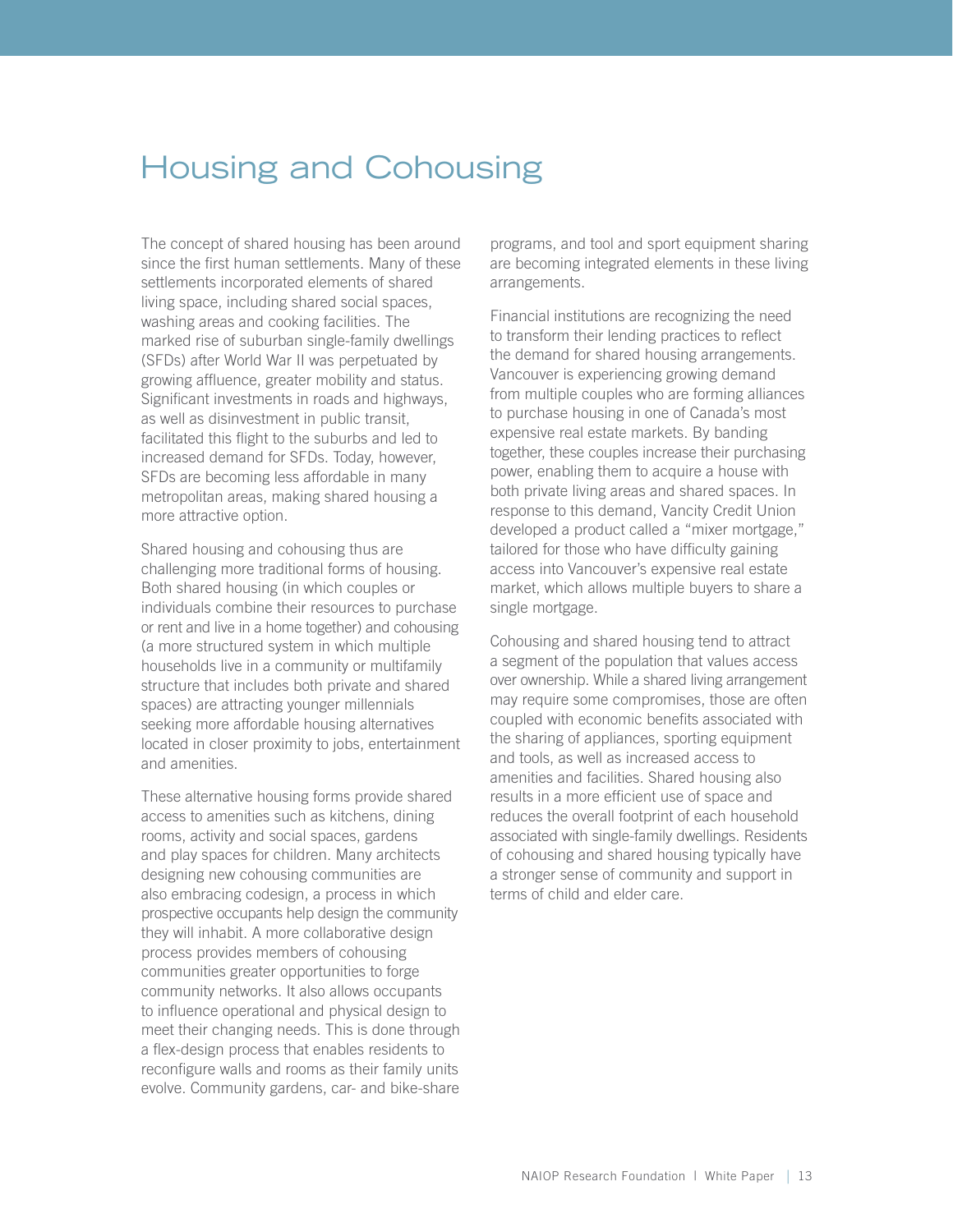### <span id="page-16-0"></span>Housing and Cohousing

The concept of shared housing has been around since the first human settlements. Many of these settlements incorporated elements of shared living space, including shared social spaces, washing areas and cooking facilities. The marked rise of suburban single-family dwellings (SFDs) after World War II was perpetuated by growing affluence, greater mobility and status. Significant investments in roads and highways, as well as disinvestment in public transit, facilitated this flight to the suburbs and led to increased demand for SFDs. Today, however, SFDs are becoming less affordable in many metropolitan areas, making shared housing a more attractive option.

Shared housing and cohousing thus are challenging more traditional forms of housing. Both shared housing (in which couples or individuals combine their resources to purchase or rent and live in a home together) and cohousing (a more structured system in which multiple households live in a community or multifamily structure that includes both private and shared spaces) are attracting younger millennials seeking more affordable housing alternatives located in closer proximity to jobs, entertainment and amenities.

These alternative housing forms provide shared access to amenities such as kitchens, dining rooms, activity and social spaces, gardens and play spaces for children. Many architects designing new cohousing communities are also embracing codesign, a process in which prospective occupants help design the community they will inhabit. A more collaborative design process provides members of cohousing communities greater opportunities to forge community networks. It also allows occupants to influence operational and physical design to meet their changing needs. This is done through a flex-design process that enables residents to reconfigure walls and rooms as their family units evolve. Community gardens, car- and bike-share

programs, and tool and sport equipment sharing are becoming integrated elements in these living arrangements.

Financial institutions are recognizing the need to transform their lending practices to reflect the demand for shared housing arrangements. Vancouver is experiencing growing demand from multiple couples who are forming alliances to purchase housing in one of Canada's most expensive real estate markets. By banding together, these couples increase their purchasing power, enabling them to acquire a house with both private living areas and shared spaces. In response to this demand, Vancity Credit Union developed a product called a "mixer mortgage," tailored for those who have difficulty gaining access into Vancouver's expensive real estate market, which allows multiple buyers to share a single mortgage.

Cohousing and shared housing tend to attract a segment of the population that values access over ownership. While a shared living arrangement may require some compromises, those are often coupled with economic benefits associated with the sharing of appliances, sporting equipment and tools, as well as increased access to amenities and facilities. Shared housing also results in a more efficient use of space and reduces the overall footprint of each household associated with single-family dwellings. Residents of cohousing and shared housing typically have a stronger sense of community and support in terms of child and elder care.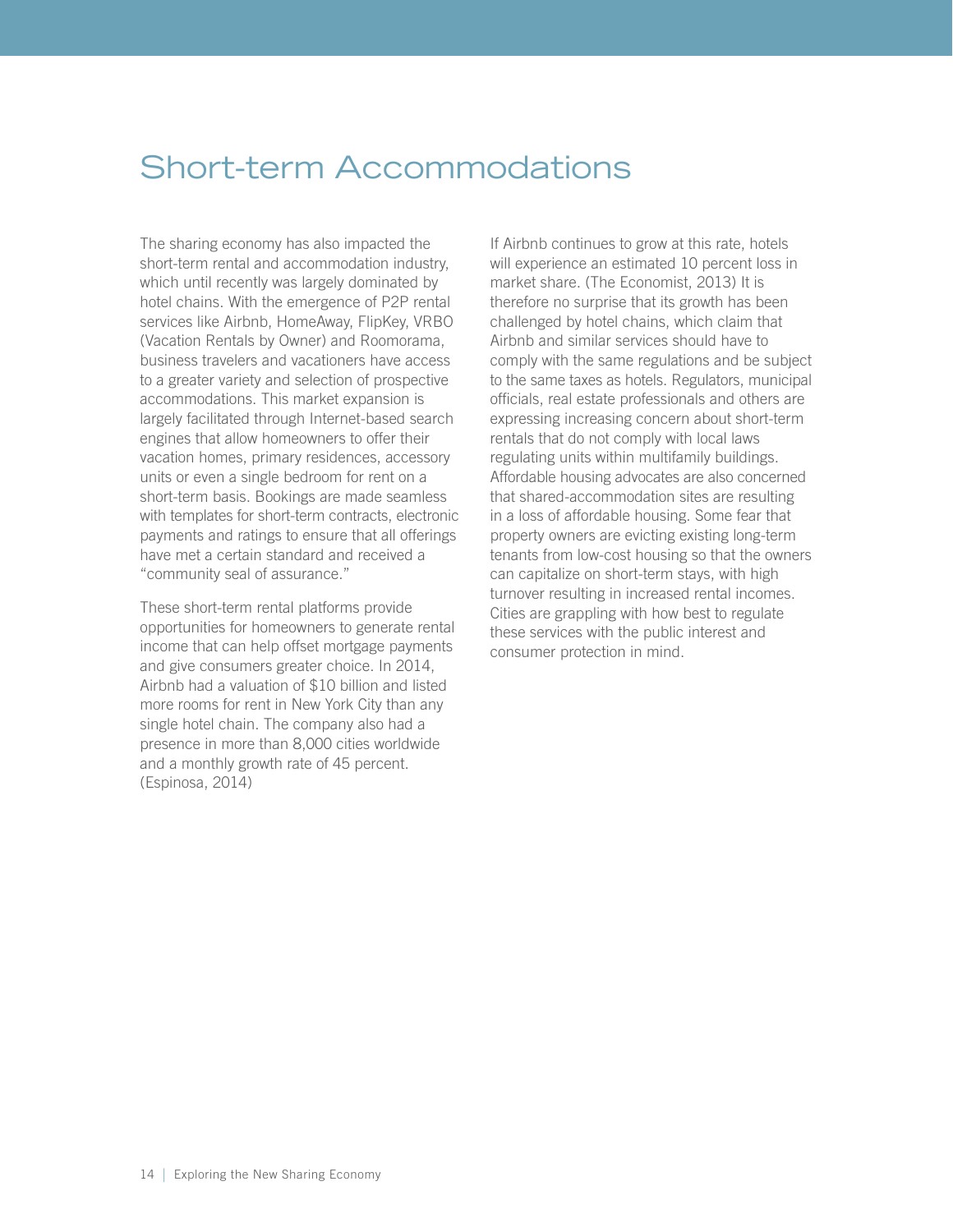# <span id="page-17-0"></span>Short-term Accommodations

The sharing economy has also impacted the short-term rental and accommodation industry, which until recently was largely dominated by hotel chains. With the emergence of P2P rental services like Airbnb, HomeAway, FlipKey, VRBO (Vacation Rentals by Owner) and Roomorama, business travelers and vacationers have access to a greater variety and selection of prospective accommodations. This market expansion is largely facilitated through Internet-based search engines that allow homeowners to offer their vacation homes, primary residences, accessory units or even a single bedroom for rent on a short-term basis. Bookings are made seamless with templates for short-term contracts, electronic payments and ratings to ensure that all offerings have met a certain standard and received a "community seal of assurance."

These short-term rental platforms provide opportunities for homeowners to generate rental income that can help offset mortgage payments and give consumers greater choice. In 2014, Airbnb had a valuation of \$10 billion and listed more rooms for rent in New York City than any single hotel chain. The company also had a presence in more than 8,000 cities worldwide and a monthly growth rate of 45 percent. (Espinosa, 2014)

If Airbnb continues to grow at this rate, hotels will experience an estimated 10 percent loss in market share. (The Economist, 2013) It is therefore no surprise that its growth has been challenged by hotel chains, which claim that Airbnb and similar services should have to comply with the same regulations and be subject to the same taxes as hotels. Regulators, municipal officials, real estate professionals and others are expressing increasing concern about short-term rentals that do not comply with local laws regulating units within multifamily buildings. Affordable housing advocates are also concerned that shared-accommodation sites are resulting in a loss of affordable housing. Some fear that property owners are evicting existing long-term tenants from low-cost housing so that the owners can capitalize on short-term stays, with high turnover resulting in increased rental incomes. Cities are grappling with how best to regulate these services with the public interest and consumer protection in mind.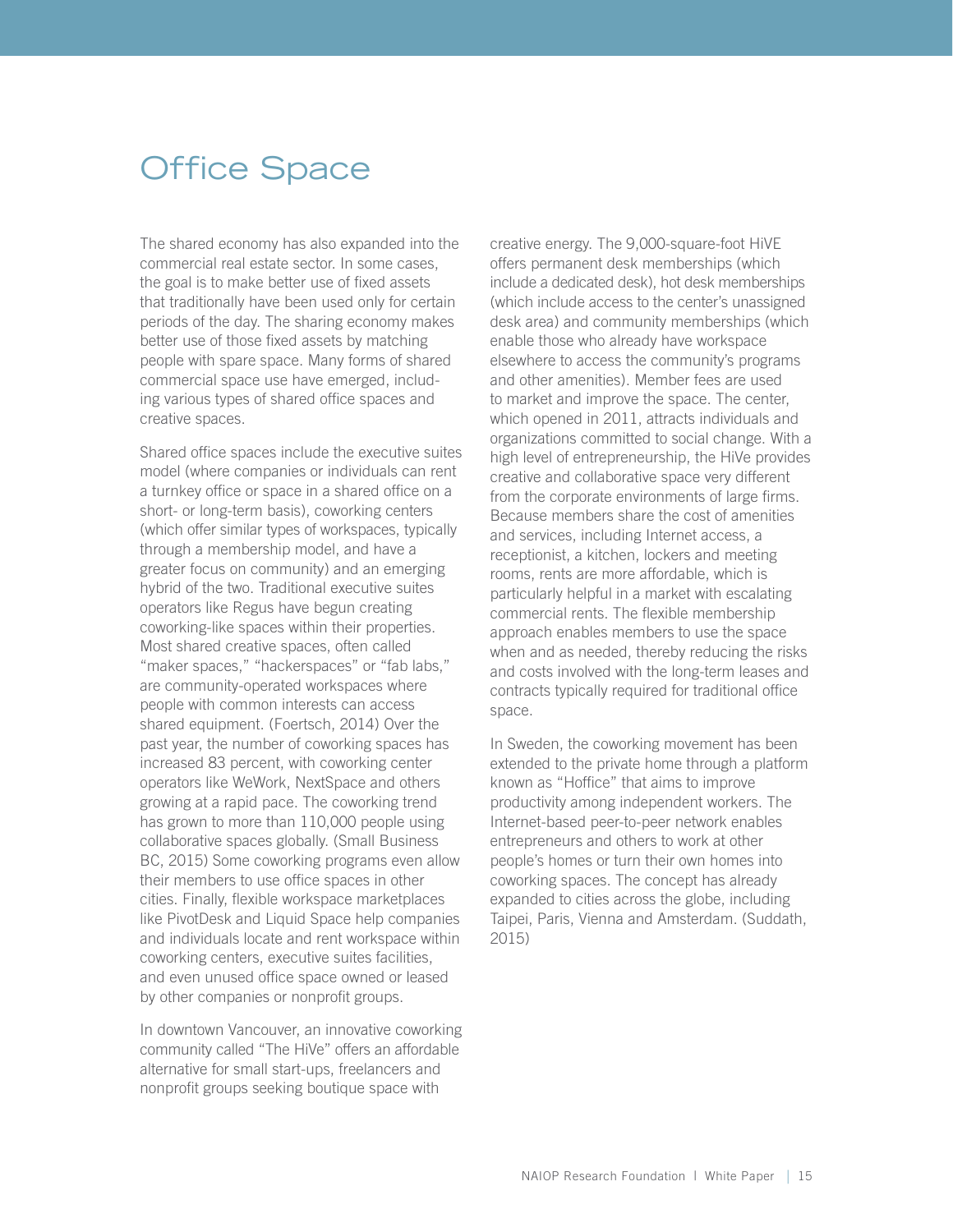# <span id="page-18-0"></span>Office Space

The shared economy has also expanded into the commercial real estate sector. In some cases, the goal is to make better use of fixed assets that traditionally have been used only for certain periods of the day. The sharing economy makes better use of those fixed assets by matching people with spare space. Many forms of shared commercial space use have emerged, including various types of shared office spaces and creative spaces.

Shared office spaces include the executive suites model (where companies or individuals can rent a turnkey office or space in a shared office on a short- or long-term basis), coworking centers (which offer similar types of workspaces, typically through a membership model, and have a greater focus on community) and an emerging hybrid of the two. Traditional executive suites operators like Regus have begun creating coworking-like spaces within their properties. Most shared creative spaces, often called "maker spaces," "hackerspaces" or "fab labs," are community-operated workspaces where people with common interests can access shared equipment. (Foertsch, 2014) Over the past year, the number of coworking spaces has increased 83 percent, with coworking center operators like WeWork, NextSpace and others growing at a rapid pace. The coworking trend has grown to more than 110,000 people using collaborative spaces globally. (Small Business BC, 2015) Some coworking programs even allow their members to use office spaces in other cities. Finally, flexible workspace marketplaces like PivotDesk and Liquid Space help companies and individuals locate and rent workspace within coworking centers, executive suites facilities, and even unused office space owned or leased by other companies or nonprofit groups.

In downtown Vancouver, an innovative coworking community called "The HiVe" offers an affordable alternative for small start-ups, freelancers and nonprofit groups seeking boutique space with

creative energy. The 9,000-square-foot HiVE offers permanent desk memberships (which include a dedicated desk), hot desk memberships (which include access to the center's unassigned desk area) and community memberships (which enable those who already have workspace elsewhere to access the community's programs and other amenities). Member fees are used to market and improve the space. The center, which opened in 2011, attracts individuals and organizations committed to social change. With a high level of entrepreneurship, the HiVe provides creative and collaborative space very different from the corporate environments of large firms. Because members share the cost of amenities and services, including Internet access, a receptionist, a kitchen, lockers and meeting rooms, rents are more affordable, which is particularly helpful in a market with escalating commercial rents. The flexible membership approach enables members to use the space when and as needed, thereby reducing the risks and costs involved with the long-term leases and contracts typically required for traditional office space.

In Sweden, the coworking movement has been extended to the private home through a platform known as "Hoffice" that aims to improve productivity among independent workers. The Internet-based peer-to-peer network enables entrepreneurs and others to work at other people's homes or turn their own homes into coworking spaces. The concept has already expanded to cities across the globe, including Taipei, Paris, Vienna and Amsterdam. (Suddath, 2015)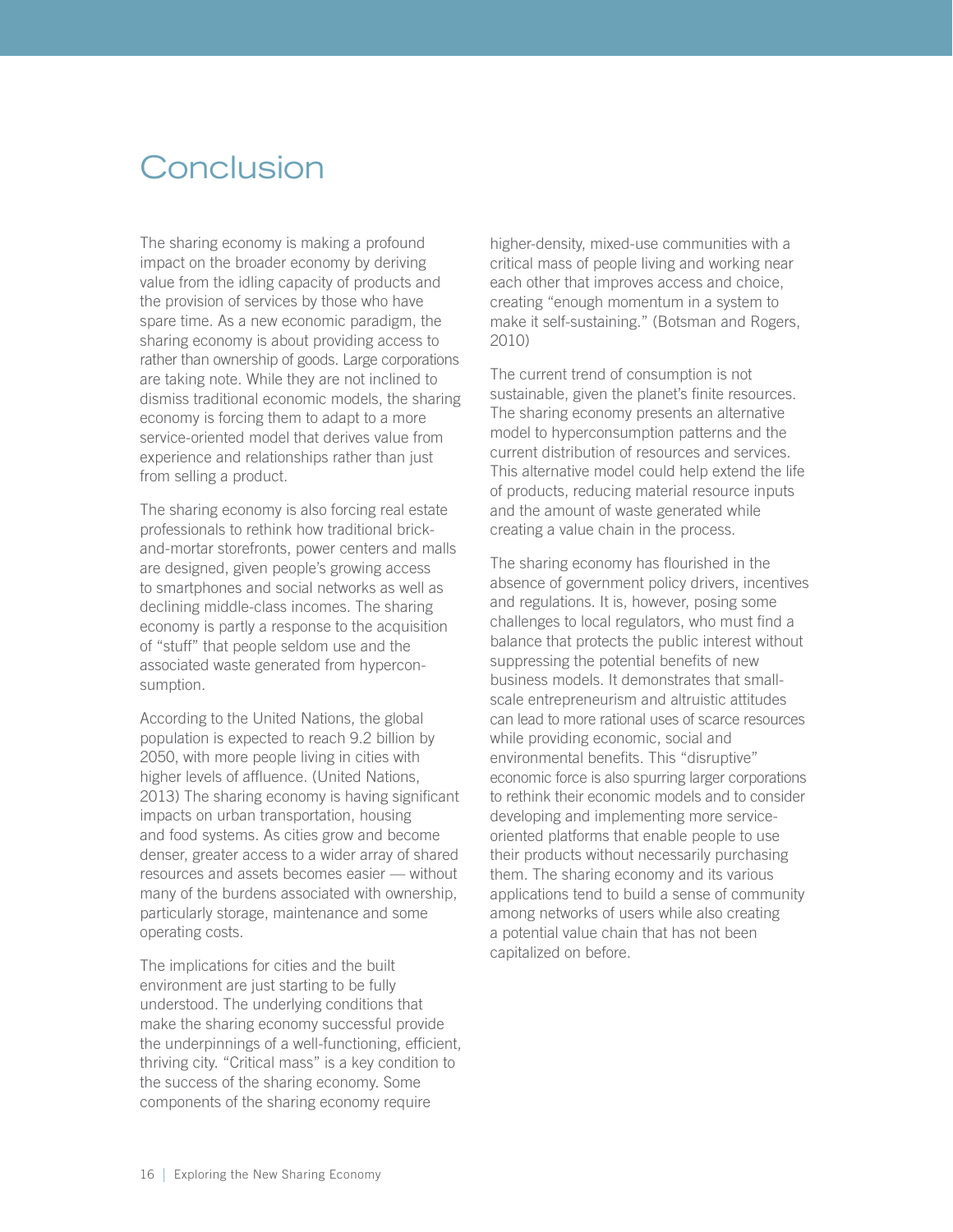### <span id="page-19-0"></span>**Conclusion**

The sharing economy is making a profound impact on the broader economy by deriving value from the idling capacity of products and the provision of services by those who have spare time. As a new economic paradigm, the sharing economy is about providing access to rather than ownership of goods. Large corporations are taking note. While they are not inclined to dismiss traditional economic models, the sharing economy is forcing them to adapt to a more service-oriented model that derives value from experience and relationships rather than just from selling a product.

The sharing economy is also forcing real estate professionals to rethink how traditional brickand-mortar storefronts, power centers and malls are designed, given people's growing access to smartphones and social networks as well as declining middle-class incomes. The sharing economy is partly a response to the acquisition of "stuff" that people seldom use and the associated waste generated from hyperconsumption.

According to the United Nations, the global population is expected to reach 9.2 billion by 2050, with more people living in cities with higher levels of affluence. (United Nations, 2013) The sharing economy is having significant impacts on urban transportation, housing and food systems. As cities grow and become denser, greater access to a wider array of shared resources and assets becomes easier — without many of the burdens associated with ownership, particularly storage, maintenance and some operating costs.

The implications for cities and the built environment are just starting to be fully understood. The underlying conditions that make the sharing economy successful provide the underpinnings of a well-functioning, efficient, thriving city. "Critical mass" is a key condition to the success of the sharing economy. Some components of the sharing economy require

higher-density, mixed-use communities with a critical mass of people living and working near each other that improves access and choice, creating "enough momentum in a system to make it self-sustaining." (Botsman and Rogers, 2010)

The current trend of consumption is not sustainable, given the planet's finite resources. The sharing economy presents an alternative model to hyperconsumption patterns and the current distribution of resources and services. This alternative model could help extend the life of products, reducing material resource inputs and the amount of waste generated while creating a value chain in the process.

The sharing economy has flourished in the absence of government policy drivers, incentives and regulations. It is, however, posing some challenges to local regulators, who must find a balance that protects the public interest without suppressing the potential benefits of new business models. It demonstrates that smallscale entrepreneurism and altruistic attitudes can lead to more rational uses of scarce resources while providing economic, social and environmental benefits. This "disruptive" economic force is also spurring larger corporations to rethink their economic models and to consider developing and implementing more serviceoriented platforms that enable people to use their products without necessarily purchasing them. The sharing economy and its various applications tend to build a sense of community among networks of users while also creating a potential value chain that has not been capitalized on before.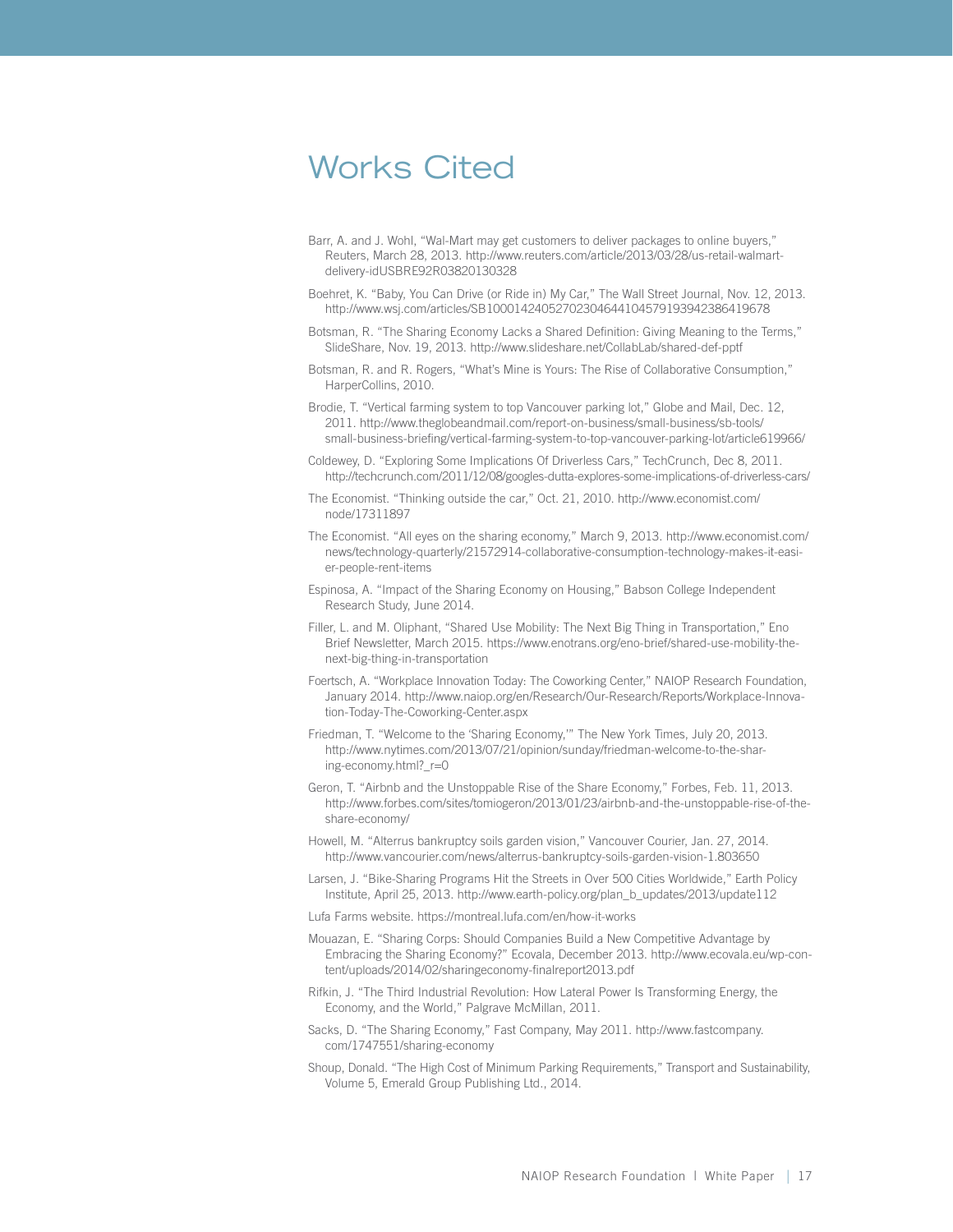### <span id="page-20-0"></span>Works Cited

- Barr, A. and J. Wohl, "Wal-Mart may get customers to deliver packages to online buyers," Reuters, March 28, 2013. [http://www.reuters.com/article/2013/03/28/us-retail-walmart](http://www.reuters.com/article/2013/03/28/us-retail-walmart-delivery-idUSBRE92R03820130328)[delivery-idUSBRE92R03820130328](http://www.reuters.com/article/2013/03/28/us-retail-walmart-delivery-idUSBRE92R03820130328)
- Boehret, K. "Baby, You Can Drive (or Ride in) My Car," The Wall Street Journal, Nov. 12, 2013. http://www.wsj.com/articles/SB10001424052702304644104579193942386419678
- Botsman, R. "The Sharing Economy Lacks a Shared Definition: Giving Meaning to the Terms," SlideShare, Nov. 19, 2013. http://www.slideshare.net/CollabLab/shared-def-pptf
- Botsman, R. and R. Rogers, "What's Mine is Yours: The Rise of Collaborative Consumption," HarperCollins, 2010.

Brodie, T. "Vertical farming system to top Vancouver parking lot," Globe and Mail, Dec. 12, 2011. http://www.theglobeandmail.com/report-on-business/small-business/sb-tools/ small-business-briefing/vertical-farming-system-to-top-vancouver-parking-lot/article619966/

Coldewey, D. "Exploring Some Implications Of Driverless Cars," TechCrunch, Dec 8, 2011. http://techcrunch.com/2011/12/08/googles-dutta-explores-some-implications-of-driverless-cars/

- The Economist. "Thinking outside the car," Oct. 21, 2010. http://www.economist.com/ node/17311897
- The Economist. "All eyes on the sharing economy," March 9, 2013. http://www.economist.com/ news/technology-quarterly/21572914-collaborative-consumption-technology-makes-it-easier-people-rent-items
- Espinosa, A. "Impact of the Sharing Economy on Housing," Babson College Independent Research Study, June 2014.
- Filler, L. and M. Oliphant, "Shared Use Mobility: The Next Big Thing in Transportation," Eno Brief Newsletter, March 2015. https://www.enotrans.org/eno-brief/shared-use-mobility-thenext-big-thing-in-transportation
- Foertsch, A. "Workplace Innovation Today: The Coworking Center," NAIOP Research Foundation, January 2014. http://www.naiop.org/en/Research/Our-Research/Reports/Workplace-Innovation-Today-The-Coworking-Center.aspx
- Friedman, T. "Welcome to the 'Sharing Economy,'" The New York Times, July 20, 2013. http://www.nytimes.com/2013/07/21/opinion/sunday/friedman-welcome-to-the-sharing-economy.html?\_r=0
- Geron, T. "Airbnb and the Unstoppable Rise of the Share Economy," Forbes, Feb. 11, 2013. http://www.forbes.com/sites/tomiogeron/2013/01/23/airbnb-and-the-unstoppable-rise-of-theshare-economy/
- Howell, M. "Alterrus bankruptcy soils garden vision," Vancouver Courier, Jan. 27, 2014. http://www.vancourier.com/news/alterrus-bankruptcy-soils-garden-vision-1.803650
- Larsen, J. "Bike-Sharing Programs Hit the Streets in Over 500 Cities Worldwide," Earth Policy Institute, April 25, 2013. http://www.earth-policy.org/plan\_b\_updates/2013/update112
- Lufa Farms website. https://montreal.lufa.com/en/how-it-works
- Mouazan, E. "Sharing Corps: Should Companies Build a New Competitive Advantage by Embracing the Sharing Economy?" Ecovala, December 2013. http://www.ecovala.eu/wp-content/uploads/2014/02/sharingeconomy-finalreport2013.pdf
- Rifkin, J. "The Third Industrial Revolution: How Lateral Power Is Transforming Energy, the Economy, and the World," Palgrave McMillan, 2011.
- Sacks, D. "The Sharing Economy," Fast Company, May 2011. http://www.fastcompany. com/1747551/sharing-economy
- Shoup, Donald. "The High Cost of Minimum Parking Requirements," Transport and Sustainability, Volume 5, Emerald Group Publishing Ltd., 2014.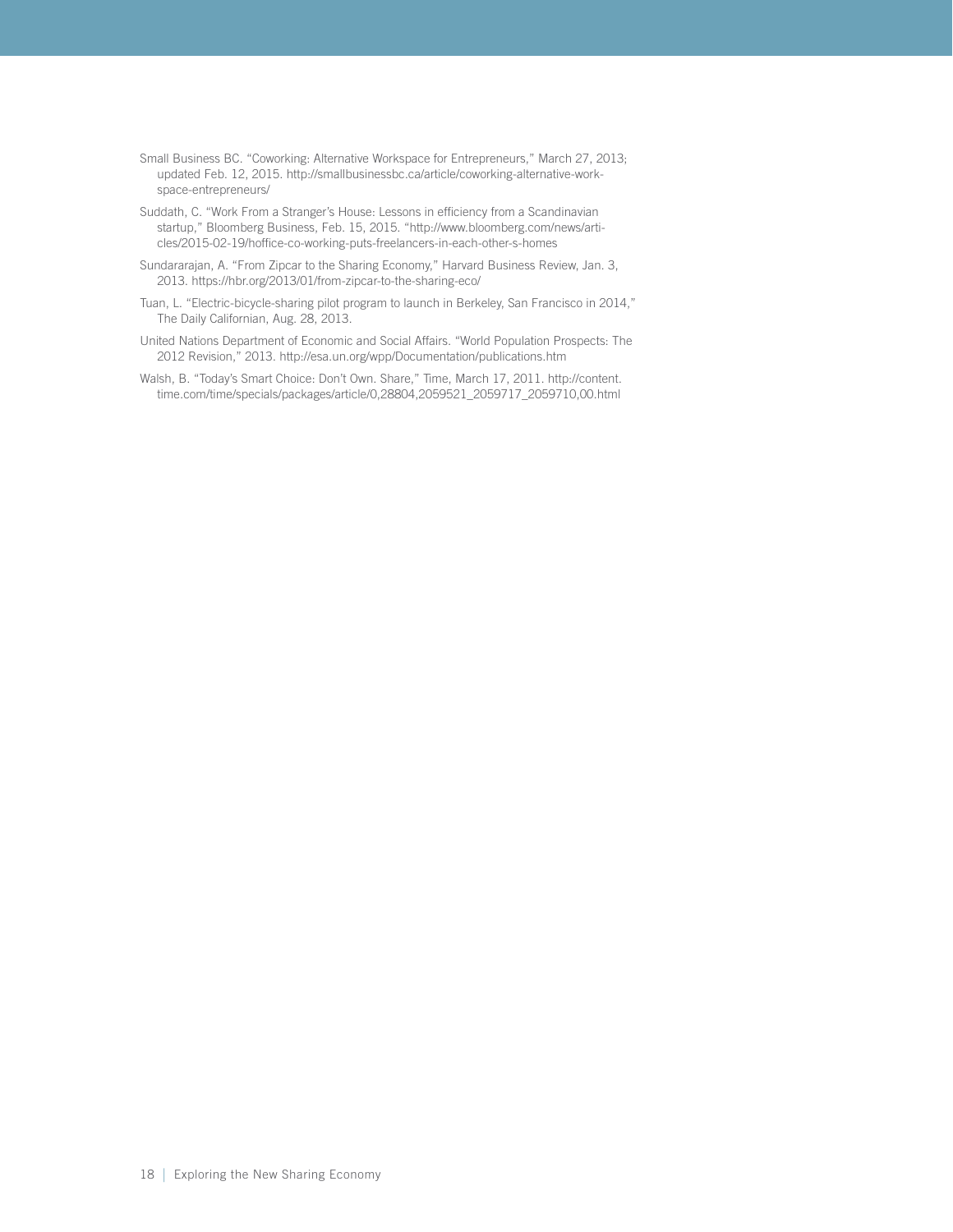- Small Business BC. "Coworking: Alternative Workspace for Entrepreneurs," March 27, 2013; updated Feb. 12, 2015. [http://smallbusinessbc.ca/article/coworking-alternative-work](http://smallbusinessbc.ca/article/coworking-alternative-workspace-entrepreneurs/)[space-entrepreneurs/](http://smallbusinessbc.ca/article/coworking-alternative-workspace-entrepreneurs/)
- Suddath, C. "Work From a Stranger's House: Lessons in efficiency from a Scandinavian startup," Bloomberg Business, Feb. 15, 2015. "http://www.bloomberg.com/news/articles/2015-02-19/hoffice-co-working-puts-freelancers-in-each-other-s-homes
- Sundararajan, A. "From Zipcar to the Sharing Economy," Harvard Business Review, Jan. 3, 2013. https://hbr.org/2013/01/from-zipcar-to-the-sharing-eco/
- Tuan, L. "Electric-bicycle-sharing pilot program to launch in Berkeley, San Francisco in 2014," The Daily Californian, Aug. 28, 2013.
- United Nations Department of Economic and Social Affairs. "World Population Prospects: The 2012 Revision," 2013. http://esa.un.org/wpp/Documentation/publications.htm
- Walsh, B. "Today's Smart Choice: Don't Own. Share," Time, March 17, 2011. http://content. time.com/time/specials/packages/article/0,28804,2059521\_2059717\_2059710,00.html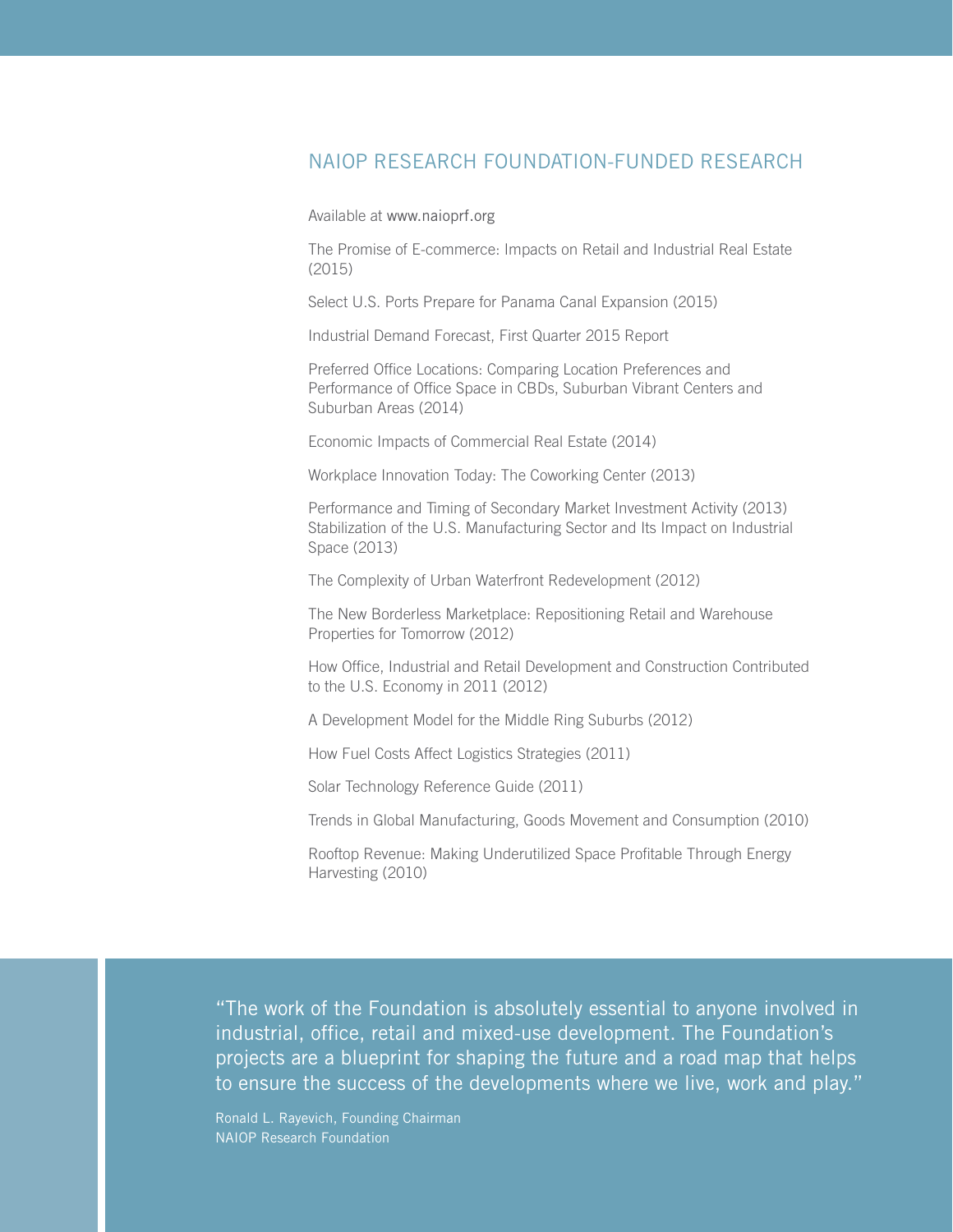### NAIOP RESEARCH FOUNDATION-FUNDED RESEARCH

Available at [www.naioprf.org](http://www.naioprf.org)

The Promise of E-commerce: Impacts on Retail and Industrial Real Estate (2015)

Select U.S. Ports Prepare for Panama Canal Expansion (2015)

Industrial Demand Forecast, First Quarter 2015 Report

Preferred Office Locations: Comparing Location Preferences and Performance of Office Space in CBDs, Suburban Vibrant Centers and Suburban Areas (2014)

Economic Impacts of Commercial Real Estate (2014)

Workplace Innovation Today: The Coworking Center (2013)

Performance and Timing of Secondary Market Investment Activity (2013) Stabilization of the U.S. Manufacturing Sector and Its Impact on Industrial Space (2013)

The Complexity of Urban Waterfront Redevelopment (2012)

The New Borderless Marketplace: Repositioning Retail and Warehouse Properties for Tomorrow (2012)

How Office, Industrial and Retail Development and Construction Contributed to the U.S. Economy in 2011 (2012)

A Development Model for the Middle Ring Suburbs (2012)

How Fuel Costs Affect Logistics Strategies (2011)

Solar Technology Reference Guide (2011)

Trends in Global Manufacturing, Goods Movement and Consumption (2010)

Rooftop Revenue: Making Underutilized Space Profitable Through Energy Harvesting (2010)

"The work of the Foundation is absolutely essential to anyone involved in industrial, office, retail and mixed-use development. The Foundation's projects are a blueprint for shaping the future and a road map that helps to ensure the success of the developments where we live, work and play."

Ronald L. Rayevich, Founding Chairman NAIOP Research Foundation